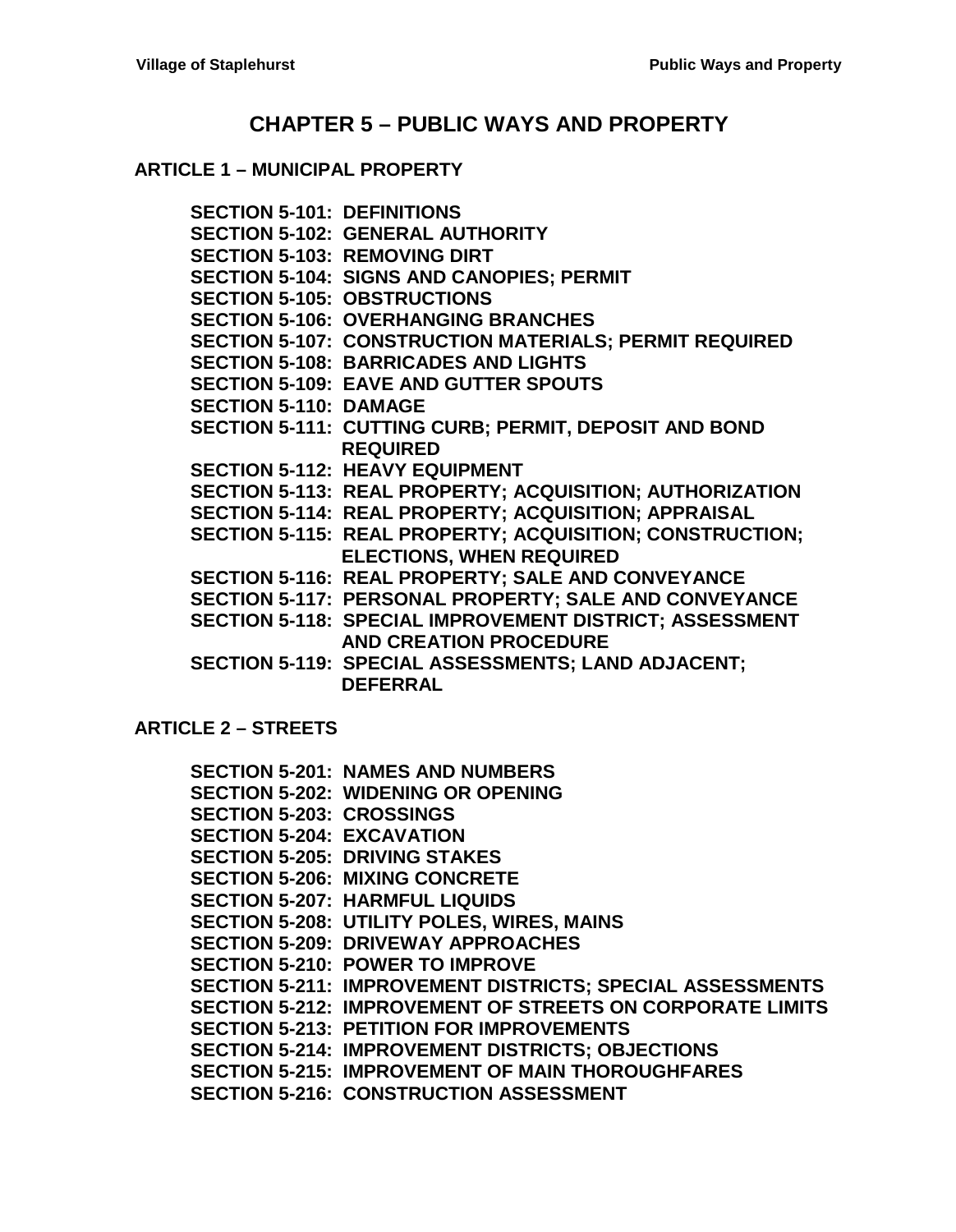# **CHAPTER 5 – [PUBLIC WAYS AND PROPERTY](#page-2-0)**

#### **ARTICLE 1 – [MUNICIPAL PROPERTY](#page-2-1)**

**[SECTION 5-101: DEFINITIONS](#page-2-2) [SECTION 5-102: GENERAL AUTHORITY](#page-2-3) [SECTION 5-103: REMOVING DIRT](#page-2-4) [SECTION 5-104: SIGNS AND CANOPIES; PERMIT](#page-2-5) [SECTION 5-105: OBSTRUCTIONS](#page-3-0) [SECTION 5-106: OVERHANGING BRANCHES](#page-3-1) [SECTION 5-107: CONSTRUCTION MATERIALS; PERMIT REQUIRED](#page-4-0) [SECTION 5-108: BARRICADES AND LIGHTS](#page-4-1) [SECTION 5-109: EAVE AND GUTTER SPOUTS](#page-4-2) [SECTION 5-110: DAMAGE](#page-4-3) [SECTION 5-111: CUTTING CURB; PERMIT, DEPOSIT AND BOND](#page-5-0)  [REQUIRED](#page-5-0) [SECTION 5-112: HEAVY EQUIPMENT](#page-5-1) [SECTION 5-113: REAL PROPERTY;](#page-6-0) ACQUISITION; AUTHORIZATION [SECTION 5-114: REAL PROPERTY;](#page-6-1) ACQUISITION; APPRAISAL [SECTION 5-115: REAL PROPERTY;](#page-6-2) ACQUISITION; CONSTRUCTION; [ELECTIONS, WHEN REQUIRED](#page-6-2) [SECTION 5-116: REAL PROPERTY;](#page-7-0) SALE AND CONVEYANCE [SECTION 5-117: PERSONAL PROPERTY; SALE AND CONVEYANCE](#page-9-0) [SECTION 5-118: SPECIAL IMPROVEMENT DISTRICT; ASSESSMENT](#page-9-1)  [AND CREATION PROCEDURE](#page-9-1) [SECTION 5-119: SPECIAL ASSESSMENTS; LAND ADJACENT;](#page-10-0)  [DEFERRAL](#page-10-0)**

**[ARTICLE 2 –](#page-12-0) STREETS**

|                                  | <b>SECTION 5-201: NAMES AND NUMBERS</b>                          |
|----------------------------------|------------------------------------------------------------------|
|                                  | <b>SECTION 5-202: WIDENING OR OPENING</b>                        |
| <b>SECTION 5-203: CROSSINGS</b>  |                                                                  |
| <b>SECTION 5-204: EXCAVATION</b> |                                                                  |
|                                  | <b>SECTION 5-205: DRIVING STAKES</b>                             |
|                                  | <b>SECTION 5-206: MIXING CONCRETE</b>                            |
|                                  | <b>SECTION 5-207: HARMFUL LIQUIDS</b>                            |
|                                  | <b>SECTION 5-208: UTILITY POLES, WIRES, MAINS</b>                |
|                                  | <b>SECTION 5-209: DRIVEWAY APPROACHES</b>                        |
|                                  | <b>SECTION 5-210: POWER TO IMPROVE</b>                           |
|                                  | SECTION 5-211: IMPROVEMENT DISTRICTS; SPECIAL ASSESSMENTS        |
|                                  | <b>SECTION 5-212: IMPROVEMENT OF STREETS ON CORPORATE LIMITS</b> |
|                                  | <b>SECTION 5-213: PETITION FOR IMPROVEMENTS</b>                  |
|                                  | SECTION 5-214: IMPROVEMENT DISTRICTS; OBJECTIONS                 |
|                                  | <b>SECTION 5-215: IMPROVEMENT OF MAIN THOROUGHFARES</b>          |
|                                  | SECTION 5-216:  CONSTRUCTION ASSESSMENT                          |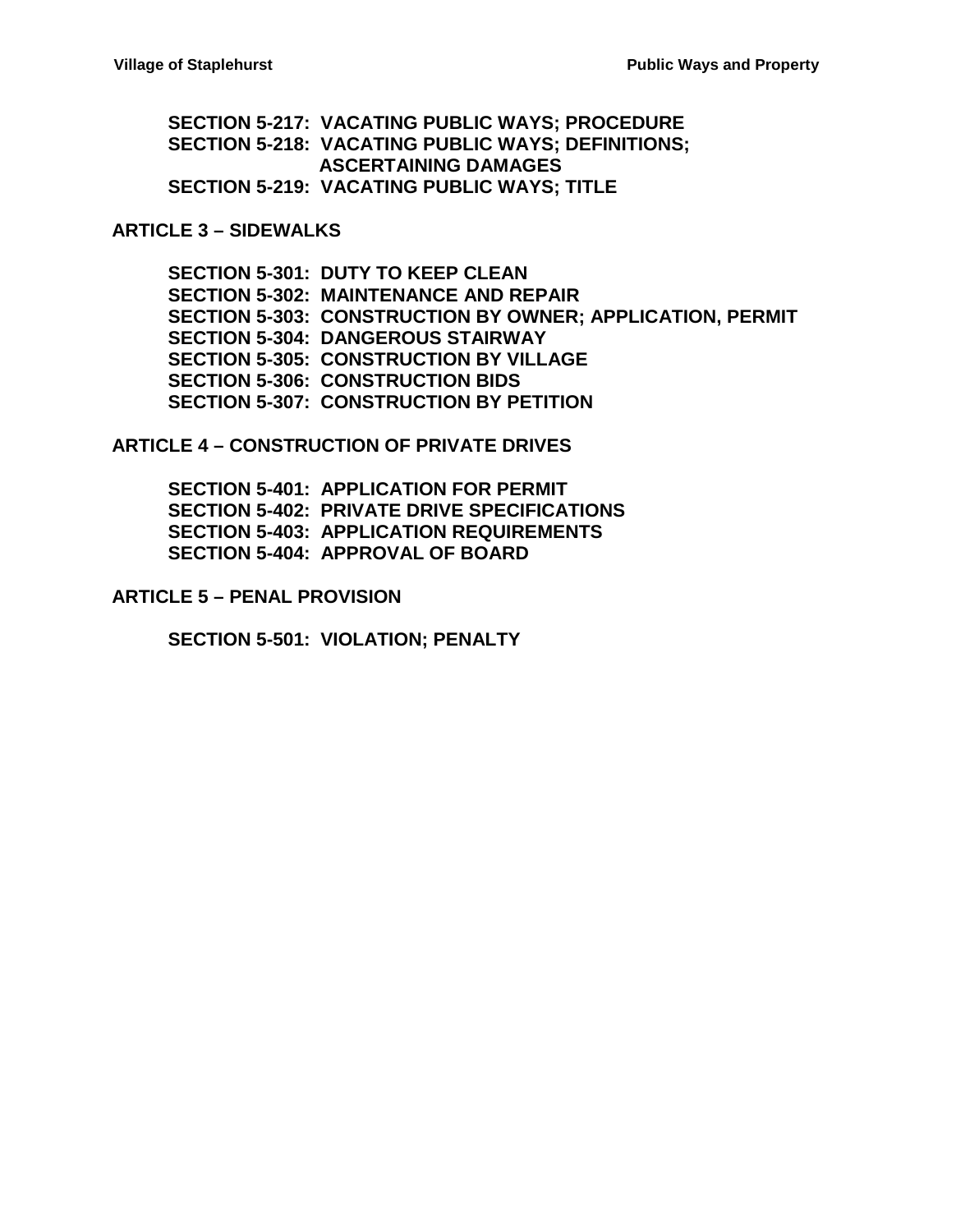**[SECTION 5-217: VACATING PUBLIC WAYS; PROCEDURE](#page-16-0) [SECTION 5-218: VACATING PUBLIC WAYS; DEFINITIONS;](#page-17-0) [ASCERTAINING DAMAGES](#page-17-0) [SECTION 5-219: VACATING PUBLIC WAYS; TITLE](#page-18-0)**

#### **[ARTICLE 3 –](#page-20-0) SIDEWALKS**

**[SECTION 5-301: DUTY TO KEEP CLEAN](#page-20-1) [SECTION 5-302: MAINTENANCE AND REPAIR](#page-20-2) [SECTION 5-303: CONSTRUCTION BY OWNER; APPLICATION, PERMIT](#page-20-3) [SECTION 5-304: DANGEROUS STAIRWAY](#page-21-0) [SECTION 5-305: CONSTRUCTION BY VILLAGE](#page-21-1) [SECTION 5-306: CONSTRUCTION BIDS](#page-22-0) [SECTION 5-307: CONSTRUCTION BY PETITION](#page-22-1)**

**ARTICLE 4 – [CONSTRUCTION OF PRIVATE DRIVES](#page-24-0)**

**[SECTION 5-401: APPLICATION FOR PERMIT](#page-24-1) [SECTION 5-402: PRIVATE DRIVE SPECIFICATIONS](#page-24-2) [SECTION 5-403: APPLICATION REQUIREMENTS](#page-24-3) [SECTION 5-404: APPROVAL OF BOARD](#page-24-4)**

**ARTICLE 5 – [PENAL PROVISION](#page-26-0)**

**[SECTION 5-501: VIOLATION; PENALTY](#page-26-1)**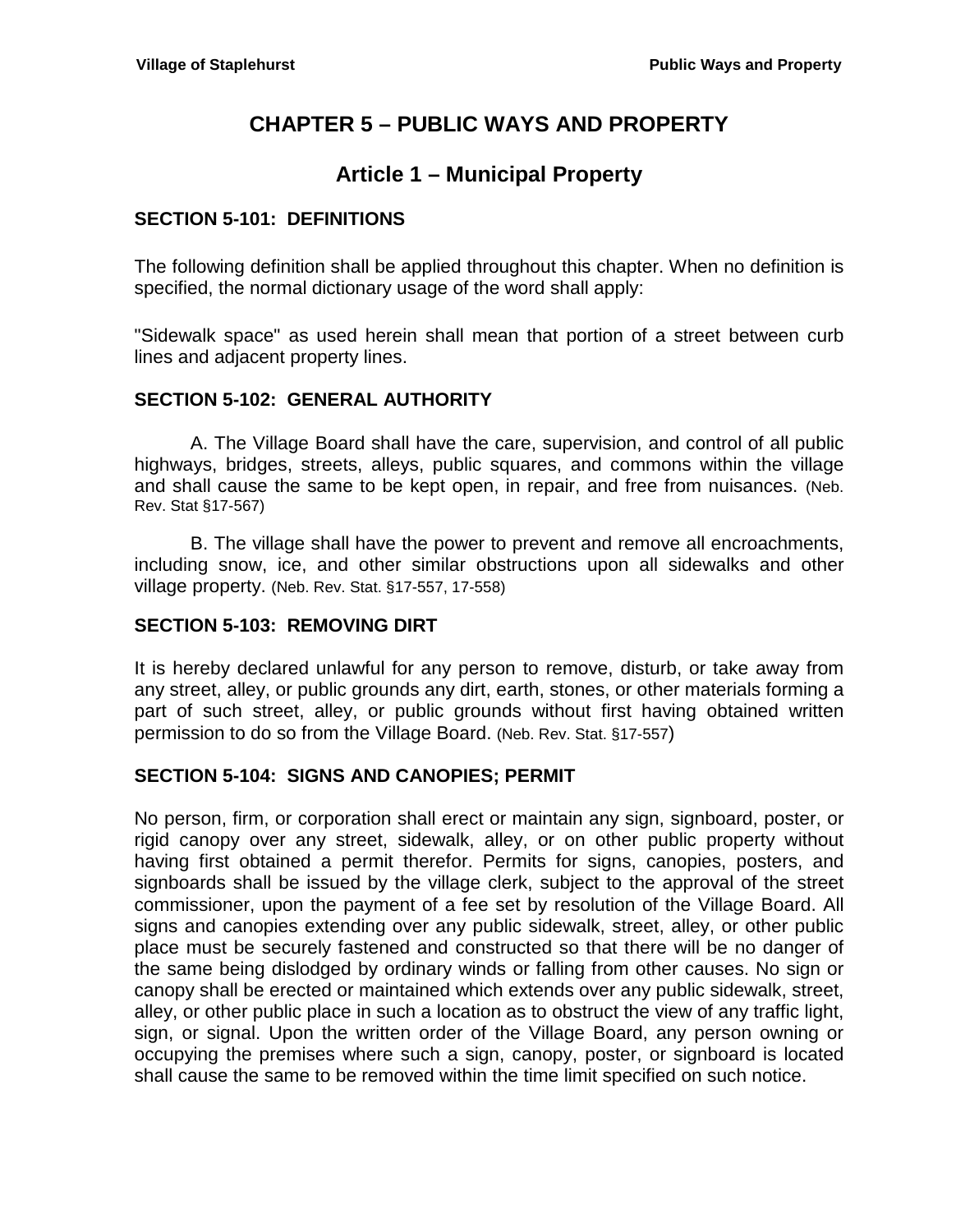# **CHAPTER 5 – PUBLIC WAYS AND PROPERTY**

# **Article 1 – Municipal Property**

## <span id="page-2-2"></span><span id="page-2-1"></span><span id="page-2-0"></span>**SECTION 5-101: DEFINITIONS**

The following definition shall be applied throughout this chapter. When no definition is specified, the normal dictionary usage of the word shall apply:

"Sidewalk space" as used herein shall mean that portion of a street between curb lines and adjacent property lines.

#### <span id="page-2-3"></span>**SECTION 5-102: GENERAL AUTHORITY**

A. The Village Board shall have the care, supervision, and control of all public highways, bridges, streets, alleys, public squares, and commons within the village and shall cause the same to be kept open, in repair, and free from nuisances. (Neb. Rev. Stat §17-567)

B. The village shall have the power to prevent and remove all encroachments, including snow, ice, and other similar obstructions upon all sidewalks and other village property. (Neb. Rev. Stat. §17-557, 17-558)

#### <span id="page-2-4"></span>**SECTION 5-103: REMOVING DIRT**

It is hereby declared unlawful for any person to remove, disturb, or take away from any street, alley, or public grounds any dirt, earth, stones, or other materials forming a part of such street, alley, or public grounds without first having obtained written permission to do so from the Village Board. (Neb. Rev. Stat. §17-557)

#### <span id="page-2-5"></span>**SECTION 5-104: SIGNS AND CANOPIES; PERMIT**

No person, firm, or corporation shall erect or maintain any sign, signboard, poster, or rigid canopy over any street, sidewalk, alley, or on other public property without having first obtained a permit therefor. Permits for signs, canopies, posters, and signboards shall be issued by the village clerk, subject to the approval of the street commissioner, upon the payment of a fee set by resolution of the Village Board. All signs and canopies extending over any public sidewalk, street, alley, or other public place must be securely fastened and constructed so that there will be no danger of the same being dislodged by ordinary winds or falling from other causes. No sign or canopy shall be erected or maintained which extends over any public sidewalk, street, alley, or other public place in such a location as to obstruct the view of any traffic light, sign, or signal. Upon the written order of the Village Board, any person owning or occupying the premises where such a sign, canopy, poster, or signboard is located shall cause the same to be removed within the time limit specified on such notice.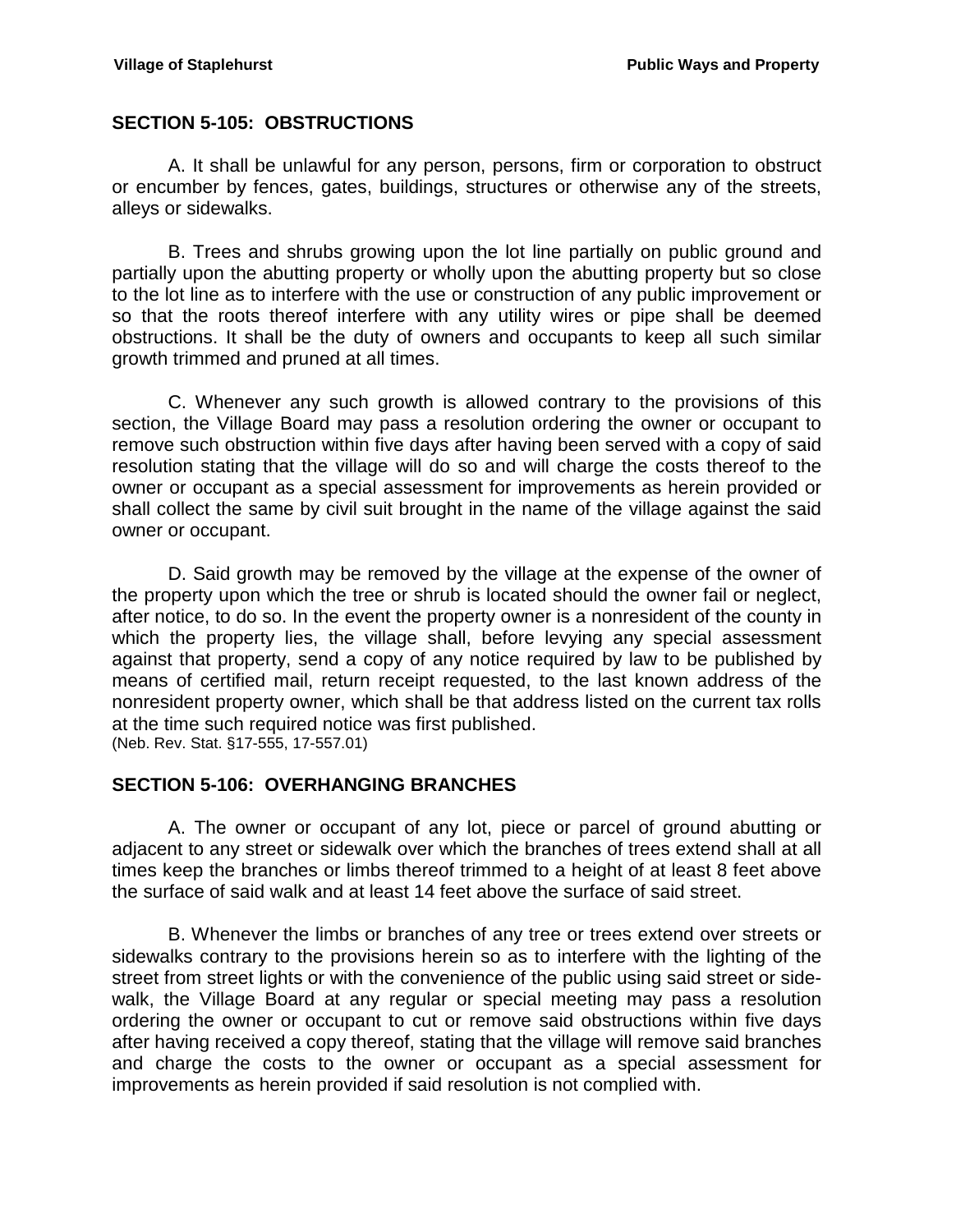## <span id="page-3-0"></span>**SECTION 5-105: OBSTRUCTIONS**

A. It shall be unlawful for any person, persons, firm or corporation to obstruct or encumber by fences, gates, buildings, structures or otherwise any of the streets, alleys or sidewalks.

B. Trees and shrubs growing upon the lot line partially on public ground and partially upon the abutting property or wholly upon the abutting property but so close to the lot line as to interfere with the use or construction of any public improvement or so that the roots thereof interfere with any utility wires or pipe shall be deemed obstructions. It shall be the duty of owners and occupants to keep all such similar growth trimmed and pruned at all times.

C. Whenever any such growth is allowed contrary to the provisions of this section, the Village Board may pass a resolution ordering the owner or occupant to remove such obstruction within five days after having been served with a copy of said resolution stating that the village will do so and will charge the costs thereof to the owner or occupant as a special assessment for improvements as herein provided or shall collect the same by civil suit brought in the name of the village against the said owner or occupant.

D. Said growth may be removed by the village at the expense of the owner of the property upon which the tree or shrub is located should the owner fail or neglect, after notice, to do so. In the event the property owner is a nonresident of the county in which the property lies, the village shall, before levying any special assessment against that property, send a copy of any notice required by law to be published by means of certified mail, return receipt requested, to the last known address of the nonresident property owner, which shall be that address listed on the current tax rolls at the time such required notice was first published. (Neb. Rev. Stat. §17-555, 17-557.01)

#### <span id="page-3-1"></span>**SECTION 5-106: OVERHANGING BRANCHES**

A. The owner or occupant of any lot, piece or parcel of ground abutting or adjacent to any street or sidewalk over which the branches of trees extend shall at all times keep the branches or limbs thereof trimmed to a height of at least 8 feet above the surface of said walk and at least 14 feet above the surface of said street.

B. Whenever the limbs or branches of any tree or trees extend over streets or sidewalks contrary to the provisions herein so as to interfere with the lighting of the street from street lights or with the convenience of the public using said street or sidewalk, the Village Board at any regular or special meeting may pass a resolution ordering the owner or occupant to cut or remove said obstructions within five days after having received a copy thereof, stating that the village will remove said branches and charge the costs to the owner or occupant as a special assessment for improvements as herein provided if said resolution is not complied with.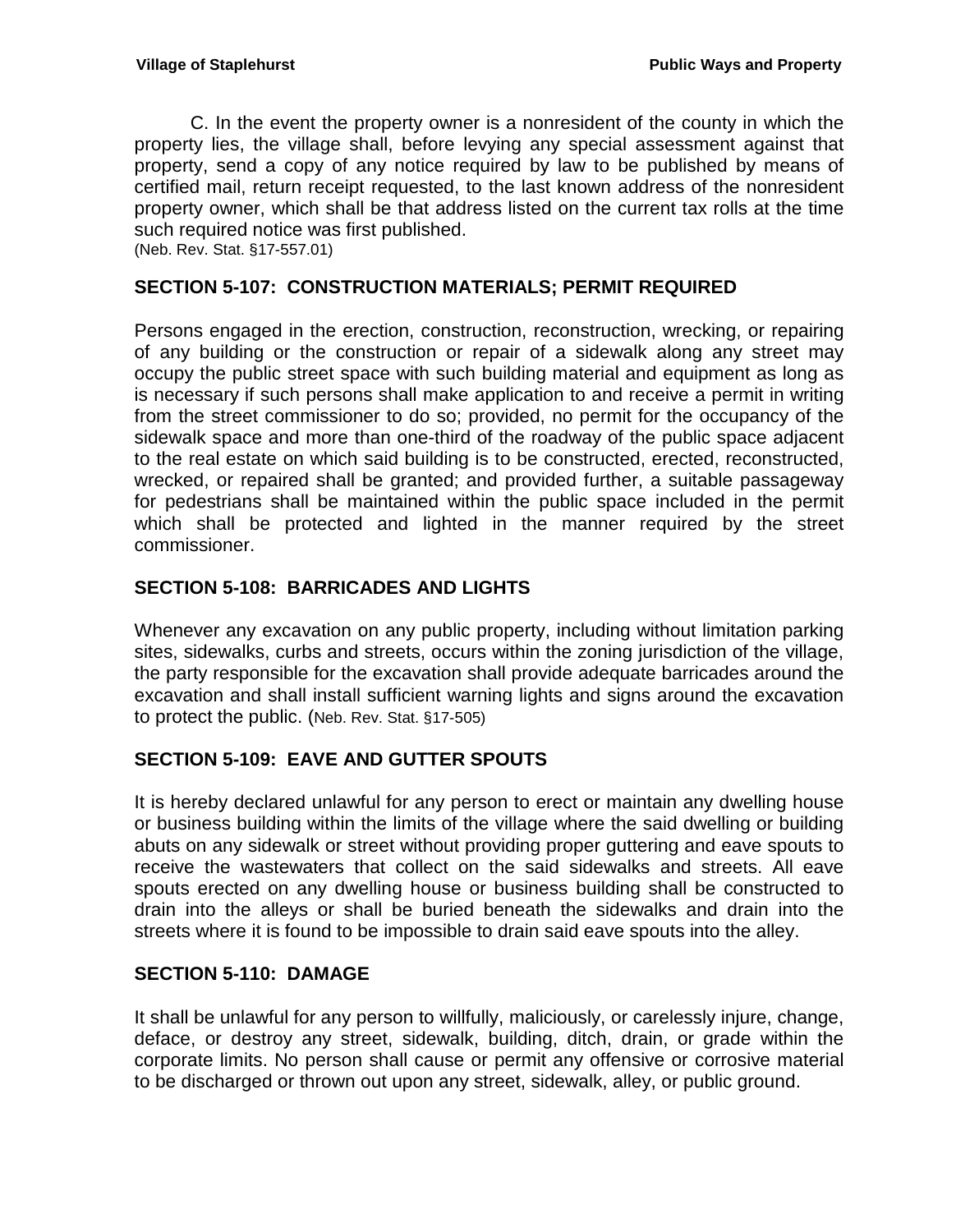C. In the event the property owner is a nonresident of the county in which the property lies, the village shall, before levying any special assessment against that property, send a copy of any notice required by law to be published by means of certified mail, return receipt requested, to the last known address of the nonresident property owner, which shall be that address listed on the current tax rolls at the time such required notice was first published.

(Neb. Rev. Stat. §17-557.01)

## <span id="page-4-0"></span>**SECTION 5-107: CONSTRUCTION MATERIALS; PERMIT REQUIRED**

Persons engaged in the erection, construction, reconstruction, wrecking, or repairing of any building or the construction or repair of a sidewalk along any street may occupy the public street space with such building material and equipment as long as is necessary if such persons shall make application to and receive a permit in writing from the street commissioner to do so; provided, no permit for the occupancy of the sidewalk space and more than one-third of the roadway of the public space adjacent to the real estate on which said building is to be constructed, erected, reconstructed, wrecked, or repaired shall be granted; and provided further, a suitable passageway for pedestrians shall be maintained within the public space included in the permit which shall be protected and lighted in the manner required by the street commissioner.

## <span id="page-4-1"></span>**SECTION 5-108: BARRICADES AND LIGHTS**

Whenever any excavation on any public property, including without limitation parking sites, sidewalks, curbs and streets, occurs within the zoning jurisdiction of the village, the party responsible for the excavation shall provide adequate barricades around the excavation and shall install sufficient warning lights and signs around the excavation to protect the public. (Neb. Rev. Stat. §17-505)

## <span id="page-4-2"></span>**SECTION 5-109: EAVE AND GUTTER SPOUTS**

It is hereby declared unlawful for any person to erect or maintain any dwelling house or business building within the limits of the village where the said dwelling or building abuts on any sidewalk or street without providing proper guttering and eave spouts to receive the wastewaters that collect on the said sidewalks and streets. All eave spouts erected on any dwelling house or business building shall be constructed to drain into the alleys or shall be buried beneath the sidewalks and drain into the streets where it is found to be impossible to drain said eave spouts into the alley.

#### <span id="page-4-3"></span>**SECTION 5-110: DAMAGE**

It shall be unlawful for any person to willfully, maliciously, or carelessly injure, change, deface, or destroy any street, sidewalk, building, ditch, drain, or grade within the corporate limits. No person shall cause or permit any offensive or corrosive material to be discharged or thrown out upon any street, sidewalk, alley, or public ground.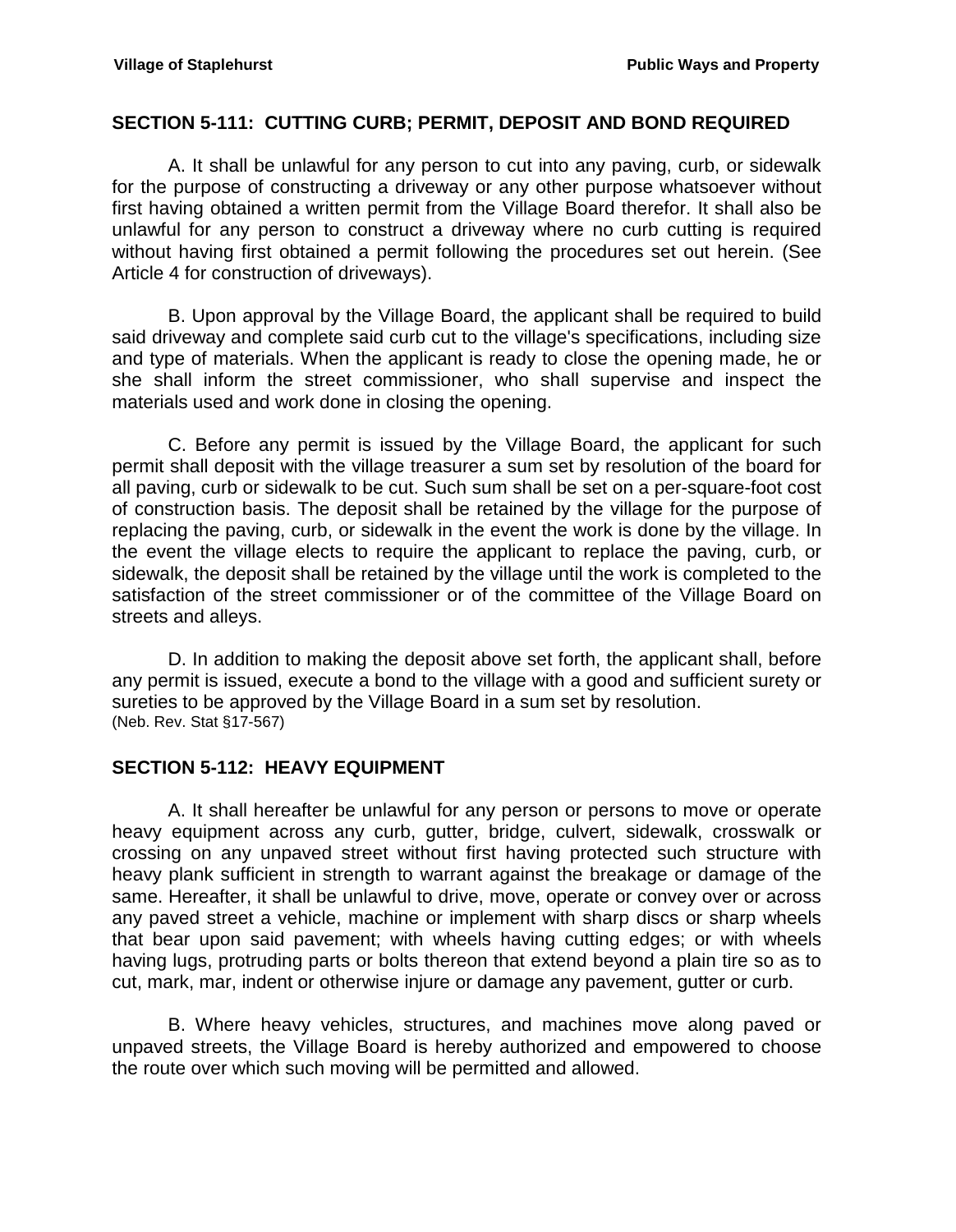#### <span id="page-5-0"></span>**SECTION 5-111: CUTTING CURB; PERMIT, DEPOSIT AND BOND REQUIRED**

A. It shall be unlawful for any person to cut into any paving, curb, or sidewalk for the purpose of constructing a driveway or any other purpose whatsoever without first having obtained a written permit from the Village Board therefor. It shall also be unlawful for any person to construct a driveway where no curb cutting is required without having first obtained a permit following the procedures set out herein. (See Article 4 for construction of driveways).

B. Upon approval by the Village Board, the applicant shall be required to build said driveway and complete said curb cut to the village's specifications, including size and type of materials. When the applicant is ready to close the opening made, he or she shall inform the street commissioner, who shall supervise and inspect the materials used and work done in closing the opening.

C. Before any permit is issued by the Village Board, the applicant for such permit shall deposit with the village treasurer a sum set by resolution of the board for all paving, curb or sidewalk to be cut. Such sum shall be set on a per-square-foot cost of construction basis. The deposit shall be retained by the village for the purpose of replacing the paving, curb, or sidewalk in the event the work is done by the village. In the event the village elects to require the applicant to replace the paving, curb, or sidewalk, the deposit shall be retained by the village until the work is completed to the satisfaction of the street commissioner or of the committee of the Village Board on streets and alleys.

D. In addition to making the deposit above set forth, the applicant shall, before any permit is issued, execute a bond to the village with a good and sufficient surety or sureties to be approved by the Village Board in a sum set by resolution. (Neb. Rev. Stat §17-567)

#### <span id="page-5-1"></span>**SECTION 5-112: HEAVY EQUIPMENT**

A. It shall hereafter be unlawful for any person or persons to move or operate heavy equipment across any curb, gutter, bridge, culvert, sidewalk, crosswalk or crossing on any unpaved street without first having protected such structure with heavy plank sufficient in strength to warrant against the breakage or damage of the same. Hereafter, it shall be unlawful to drive, move, operate or convey over or across any paved street a vehicle, machine or implement with sharp discs or sharp wheels that bear upon said pavement; with wheels having cutting edges; or with wheels having lugs, protruding parts or bolts thereon that extend beyond a plain tire so as to cut, mark, mar, indent or otherwise injure or damage any pavement, gutter or curb.

B. Where heavy vehicles, structures, and machines move along paved or unpaved streets, the Village Board is hereby authorized and empowered to choose the route over which such moving will be permitted and allowed.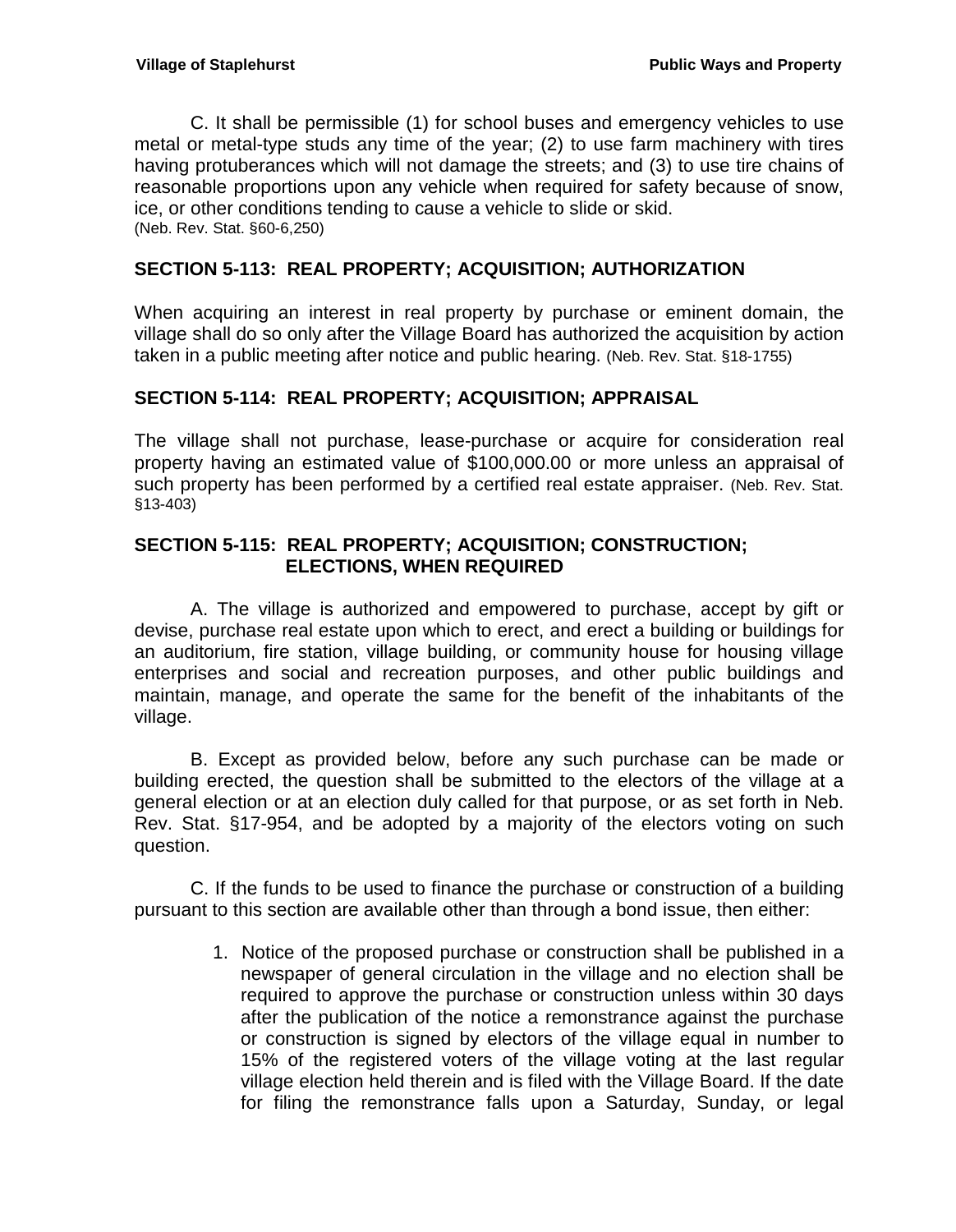C. It shall be permissible (1) for school buses and emergency vehicles to use metal or metal-type studs any time of the year; (2) to use farm machinery with tires having protuberances which will not damage the streets; and (3) to use tire chains of reasonable proportions upon any vehicle when required for safety because of snow, ice, or other conditions tending to cause a vehicle to slide or skid. (Neb. Rev. Stat. §60-6,250)

## <span id="page-6-0"></span>**SECTION 5-113: REAL PROPERTY; ACQUISITION; AUTHORIZATION**

When acquiring an interest in real property by purchase or eminent domain, the village shall do so only after the Village Board has authorized the acquisition by action taken in a public meeting after notice and public hearing. (Neb. Rev. Stat. §18-1755)

## <span id="page-6-1"></span>**SECTION 5-114: REAL PROPERTY; ACQUISITION; APPRAISAL**

The village shall not purchase, lease-purchase or acquire for consideration real property having an estimated value of \$100,000.00 or more unless an appraisal of such property has been performed by a certified real estate appraiser. (Neb. Rev. Stat. §13-403)

## <span id="page-6-2"></span>**SECTION 5-115: REAL PROPERTY; ACQUISITION; CONSTRUCTION; ELECTIONS, WHEN REQUIRED**

A. The village is authorized and empowered to purchase, accept by gift or devise, purchase real estate upon which to erect, and erect a building or buildings for an auditorium, fire station, village building, or community house for housing village enterprises and social and recreation purposes, and other public buildings and maintain, manage, and operate the same for the benefit of the inhabitants of the village.

B. Except as provided below, before any such purchase can be made or building erected, the question shall be submitted to the electors of the village at a general election or at an election duly called for that purpose, or as set forth in Neb. Rev. Stat. §17-954, and be adopted by a majority of the electors voting on such question.

C. If the funds to be used to finance the purchase or construction of a building pursuant to this section are available other than through a bond issue, then either:

> 1. Notice of the proposed purchase or construction shall be published in a newspaper of general circulation in the village and no election shall be required to approve the purchase or construction unless within 30 days after the publication of the notice a remonstrance against the purchase or construction is signed by electors of the village equal in number to 15% of the registered voters of the village voting at the last regular village election held therein and is filed with the Village Board. If the date for filing the remonstrance falls upon a Saturday, Sunday, or legal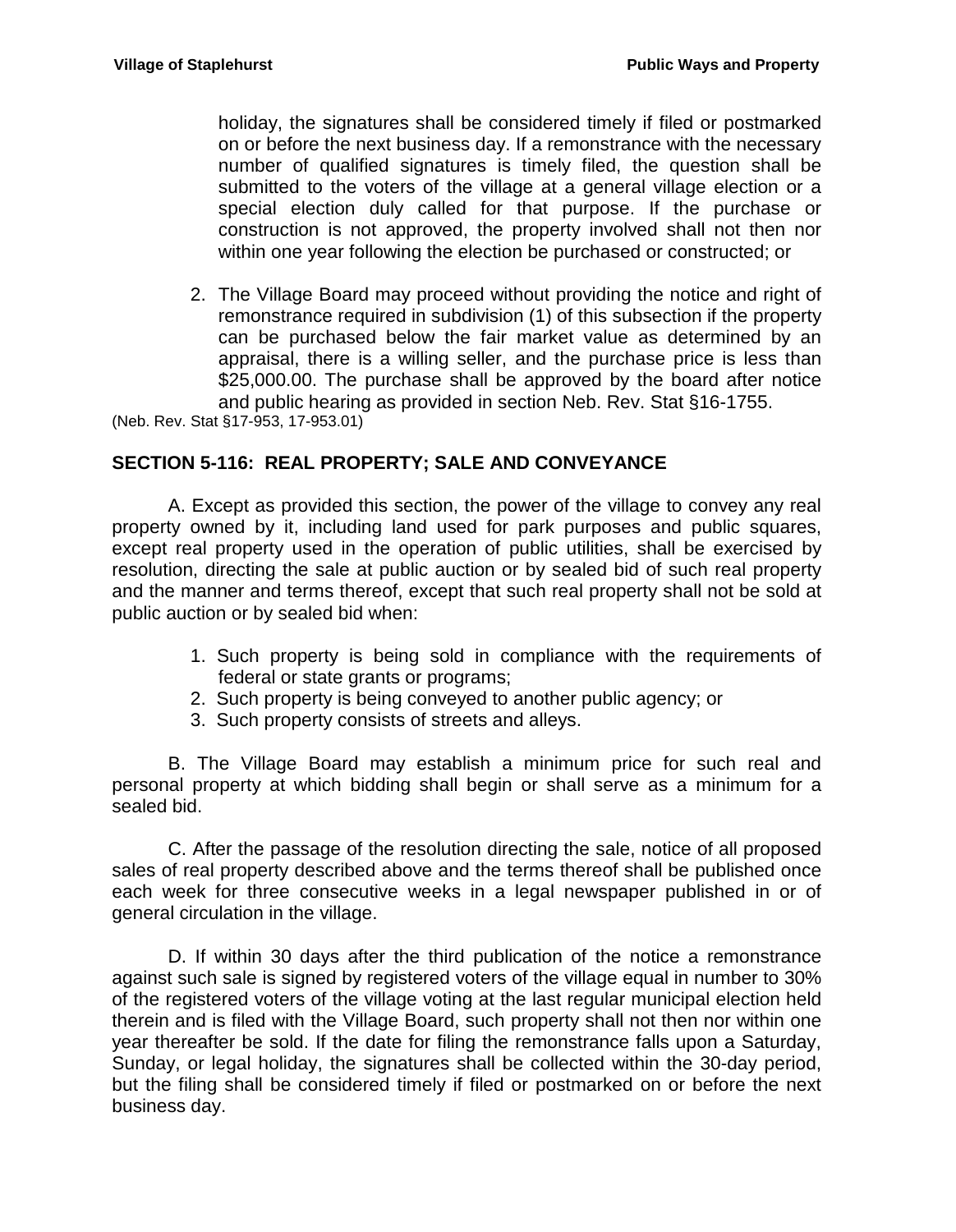holiday, the signatures shall be considered timely if filed or postmarked on or before the next business day. If a remonstrance with the necessary number of qualified signatures is timely filed, the question shall be submitted to the voters of the village at a general village election or a special election duly called for that purpose. If the purchase or construction is not approved, the property involved shall not then nor within one year following the election be purchased or constructed; or

2. The Village Board may proceed without providing the notice and right of remonstrance required in subdivision (1) of this subsection if the property can be purchased below the fair market value as determined by an appraisal, there is a willing seller, and the purchase price is less than \$25,000.00. The purchase shall be approved by the board after notice and public hearing as provided in section Neb. Rev. Stat §16-1755.

(Neb. Rev. Stat §17-953, 17-953.01)

#### <span id="page-7-0"></span>**SECTION 5-116: REAL PROPERTY; SALE AND CONVEYANCE**

A. Except as provided this section, the power of the village to convey any real property owned by it, including land used for park purposes and public squares, except real property used in the operation of public utilities, shall be exercised by resolution, directing the sale at public auction or by sealed bid of such real property and the manner and terms thereof, except that such real property shall not be sold at public auction or by sealed bid when:

- 1. Such property is being sold in compliance with the requirements of federal or state grants or programs;
- 2. Such property is being conveyed to another public agency; or
- 3. Such property consists of streets and alleys.

B. The Village Board may establish a minimum price for such real and personal property at which bidding shall begin or shall serve as a minimum for a sealed bid.

C. After the passage of the resolution directing the sale, notice of all proposed sales of real property described above and the terms thereof shall be published once each week for three consecutive weeks in a legal newspaper published in or of general circulation in the village.

D. If within 30 days after the third publication of the notice a remonstrance against such sale is signed by registered voters of the village equal in number to 30% of the registered voters of the village voting at the last regular municipal election held therein and is filed with the Village Board, such property shall not then nor within one year thereafter be sold. If the date for filing the remonstrance falls upon a Saturday, Sunday, or legal holiday, the signatures shall be collected within the 30-day period, but the filing shall be considered timely if filed or postmarked on or before the next business day.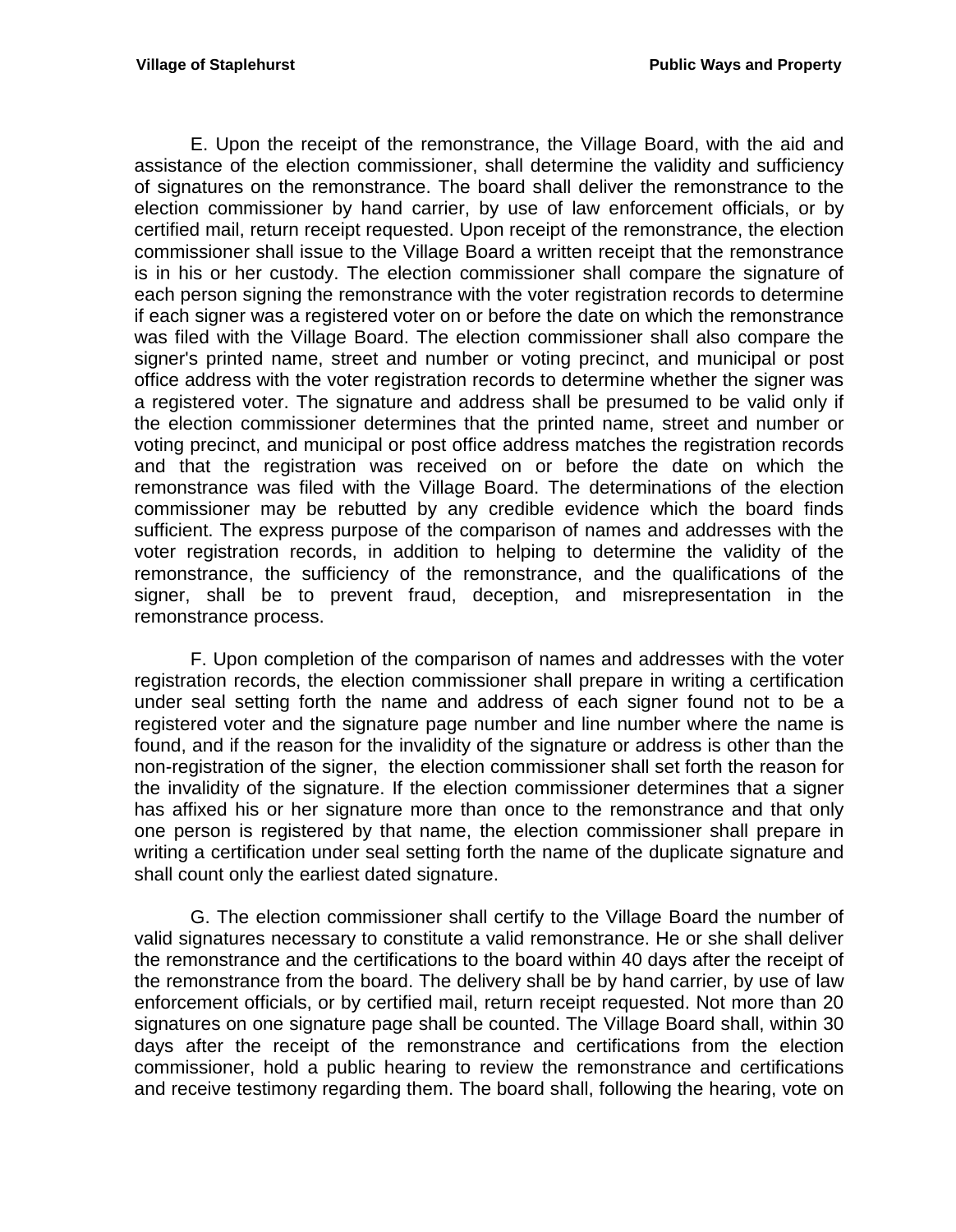E. Upon the receipt of the remonstrance, the Village Board, with the aid and assistance of the election commissioner, shall determine the validity and sufficiency of signatures on the remonstrance. The board shall deliver the remonstrance to the election commissioner by hand carrier, by use of law enforcement officials, or by certified mail, return receipt requested. Upon receipt of the remonstrance, the election commissioner shall issue to the Village Board a written receipt that the remonstrance is in his or her custody. The election commissioner shall compare the signature of each person signing the remonstrance with the voter registration records to determine if each signer was a registered voter on or before the date on which the remonstrance was filed with the Village Board. The election commissioner shall also compare the signer's printed name, street and number or voting precinct, and municipal or post office address with the voter registration records to determine whether the signer was a registered voter. The signature and address shall be presumed to be valid only if the election commissioner determines that the printed name, street and number or voting precinct, and municipal or post office address matches the registration records and that the registration was received on or before the date on which the remonstrance was filed with the Village Board. The determinations of the election commissioner may be rebutted by any credible evidence which the board finds sufficient. The express purpose of the comparison of names and addresses with the voter registration records, in addition to helping to determine the validity of the remonstrance, the sufficiency of the remonstrance, and the qualifications of the signer, shall be to prevent fraud, deception, and misrepresentation in the remonstrance process.

F. Upon completion of the comparison of names and addresses with the voter registration records, the election commissioner shall prepare in writing a certification under seal setting forth the name and address of each signer found not to be a registered voter and the signature page number and line number where the name is found, and if the reason for the invalidity of the signature or address is other than the non-registration of the signer, the election commissioner shall set forth the reason for the invalidity of the signature. If the election commissioner determines that a signer has affixed his or her signature more than once to the remonstrance and that only one person is registered by that name, the election commissioner shall prepare in writing a certification under seal setting forth the name of the duplicate signature and shall count only the earliest dated signature.

G. The election commissioner shall certify to the Village Board the number of valid signatures necessary to constitute a valid remonstrance. He or she shall deliver the remonstrance and the certifications to the board within 40 days after the receipt of the remonstrance from the board. The delivery shall be by hand carrier, by use of law enforcement officials, or by certified mail, return receipt requested. Not more than 20 signatures on one signature page shall be counted. The Village Board shall, within 30 days after the receipt of the remonstrance and certifications from the election commissioner, hold a public hearing to review the remonstrance and certifications and receive testimony regarding them. The board shall, following the hearing, vote on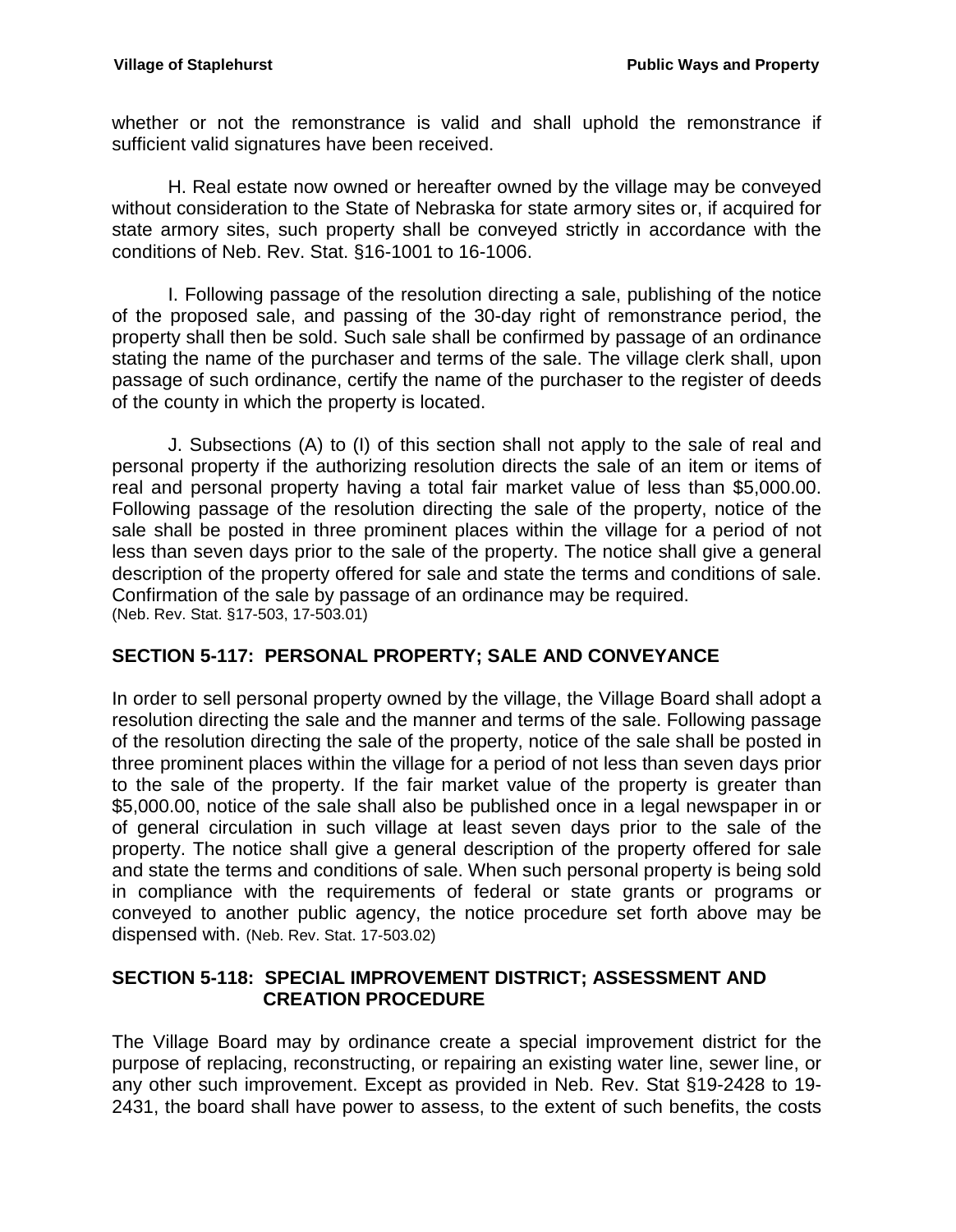whether or not the remonstrance is valid and shall uphold the remonstrance if sufficient valid signatures have been received.

H. Real estate now owned or hereafter owned by the village may be conveyed without consideration to the State of Nebraska for state armory sites or, if acquired for state armory sites, such property shall be conveyed strictly in accordance with the conditions of Neb. Rev. Stat. §16-1001 to 16-1006.

I. Following passage of the resolution directing a sale, publishing of the notice of the proposed sale, and passing of the 30-day right of remonstrance period, the property shall then be sold. Such sale shall be confirmed by passage of an ordinance stating the name of the purchaser and terms of the sale. The village clerk shall, upon passage of such ordinance, certify the name of the purchaser to the register of deeds of the county in which the property is located.

J. Subsections (A) to (I) of this section shall not apply to the sale of real and personal property if the authorizing resolution directs the sale of an item or items of real and personal property having a total fair market value of less than \$5,000.00. Following passage of the resolution directing the sale of the property, notice of the sale shall be posted in three prominent places within the village for a period of not less than seven days prior to the sale of the property. The notice shall give a general description of the property offered for sale and state the terms and conditions of sale. Confirmation of the sale by passage of an ordinance may be required. (Neb. Rev. Stat. §17-503, 17-503.01)

## <span id="page-9-0"></span>**SECTION 5-117: PERSONAL PROPERTY; SALE AND CONVEYANCE**

In order to sell personal property owned by the village, the Village Board shall adopt a resolution directing the sale and the manner and terms of the sale. Following passage of the resolution directing the sale of the property, notice of the sale shall be posted in three prominent places within the village for a period of not less than seven days prior to the sale of the property. If the fair market value of the property is greater than \$5,000.00, notice of the sale shall also be published once in a legal newspaper in or of general circulation in such village at least seven days prior to the sale of the property. The notice shall give a general description of the property offered for sale and state the terms and conditions of sale. When such personal property is being sold in compliance with the requirements of federal or state grants or programs or conveyed to another public agency, the notice procedure set forth above may be dispensed with. (Neb. Rev. Stat. 17-503.02)

## <span id="page-9-1"></span>**SECTION 5-118: SPECIAL IMPROVEMENT DISTRICT; ASSESSMENT AND CREATION PROCEDURE**

The Village Board may by ordinance create a special improvement district for the purpose of replacing, reconstructing, or repairing an existing water line, sewer line, or any other such improvement. Except as provided in Neb. Rev. Stat §19-2428 to 19- 2431, the board shall have power to assess, to the extent of such benefits, the costs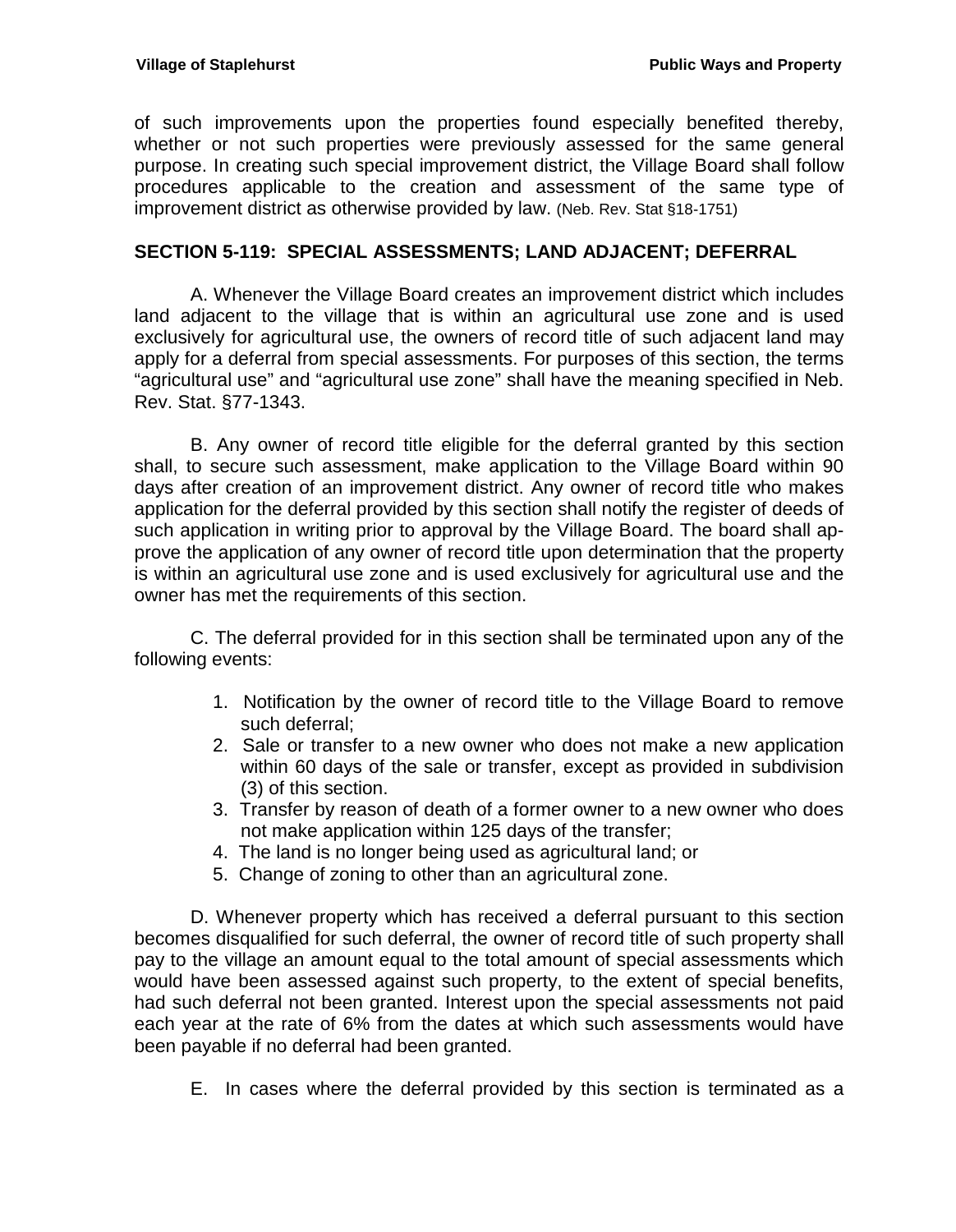of such improvements upon the properties found especially benefited thereby, whether or not such properties were previously assessed for the same general purpose. In creating such special improvement district, the Village Board shall follow procedures applicable to the creation and assessment of the same type of improvement district as otherwise provided by law. (Neb. Rev. Stat §18-1751)

## <span id="page-10-0"></span>**SECTION 5-119: SPECIAL ASSESSMENTS; LAND ADJACENT; DEFERRAL**

A. Whenever the Village Board creates an improvement district which includes land adjacent to the village that is within an agricultural use zone and is used exclusively for agricultural use, the owners of record title of such adjacent land may apply for a deferral from special assessments. For purposes of this section, the terms "agricultural use" and "agricultural use zone" shall have the meaning specified in Neb. Rev. Stat. §77-1343.

B. Any owner of record title eligible for the deferral granted by this section shall, to secure such assessment, make application to the Village Board within 90 days after creation of an improvement district. Any owner of record title who makes application for the deferral provided by this section shall notify the register of deeds of such application in writing prior to approval by the Village Board. The board shall approve the application of any owner of record title upon determination that the property is within an agricultural use zone and is used exclusively for agricultural use and the owner has met the requirements of this section.

C. The deferral provided for in this section shall be terminated upon any of the following events:

- 1. Notification by the owner of record title to the Village Board to remove such deferral;
- 2. Sale or transfer to a new owner who does not make a new application within 60 days of the sale or transfer, except as provided in subdivision (3) of this section.
- 3. Transfer by reason of death of a former owner to a new owner who does not make application within 125 days of the transfer;
- 4. The land is no longer being used as agricultural land; or
- 5. Change of zoning to other than an agricultural zone.

D. Whenever property which has received a deferral pursuant to this section becomes disqualified for such deferral, the owner of record title of such property shall pay to the village an amount equal to the total amount of special assessments which would have been assessed against such property, to the extent of special benefits, had such deferral not been granted. Interest upon the special assessments not paid each year at the rate of 6% from the dates at which such assessments would have been payable if no deferral had been granted.

E. In cases where the deferral provided by this section is terminated as a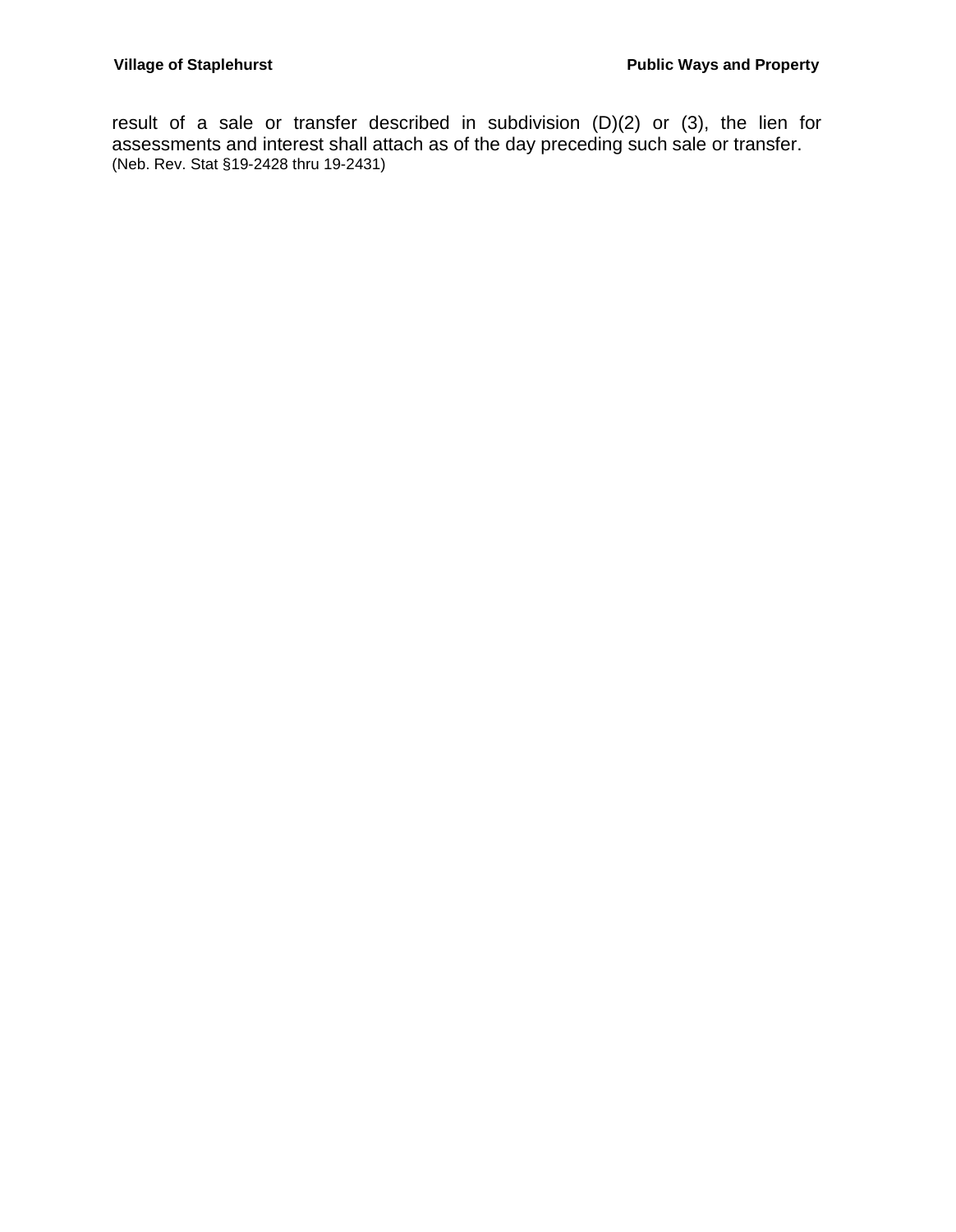result of a sale or transfer described in subdivision (D)(2) or (3), the lien for assessments and interest shall attach as of the day preceding such sale or transfer. (Neb. Rev. Stat §19-2428 thru 19-2431)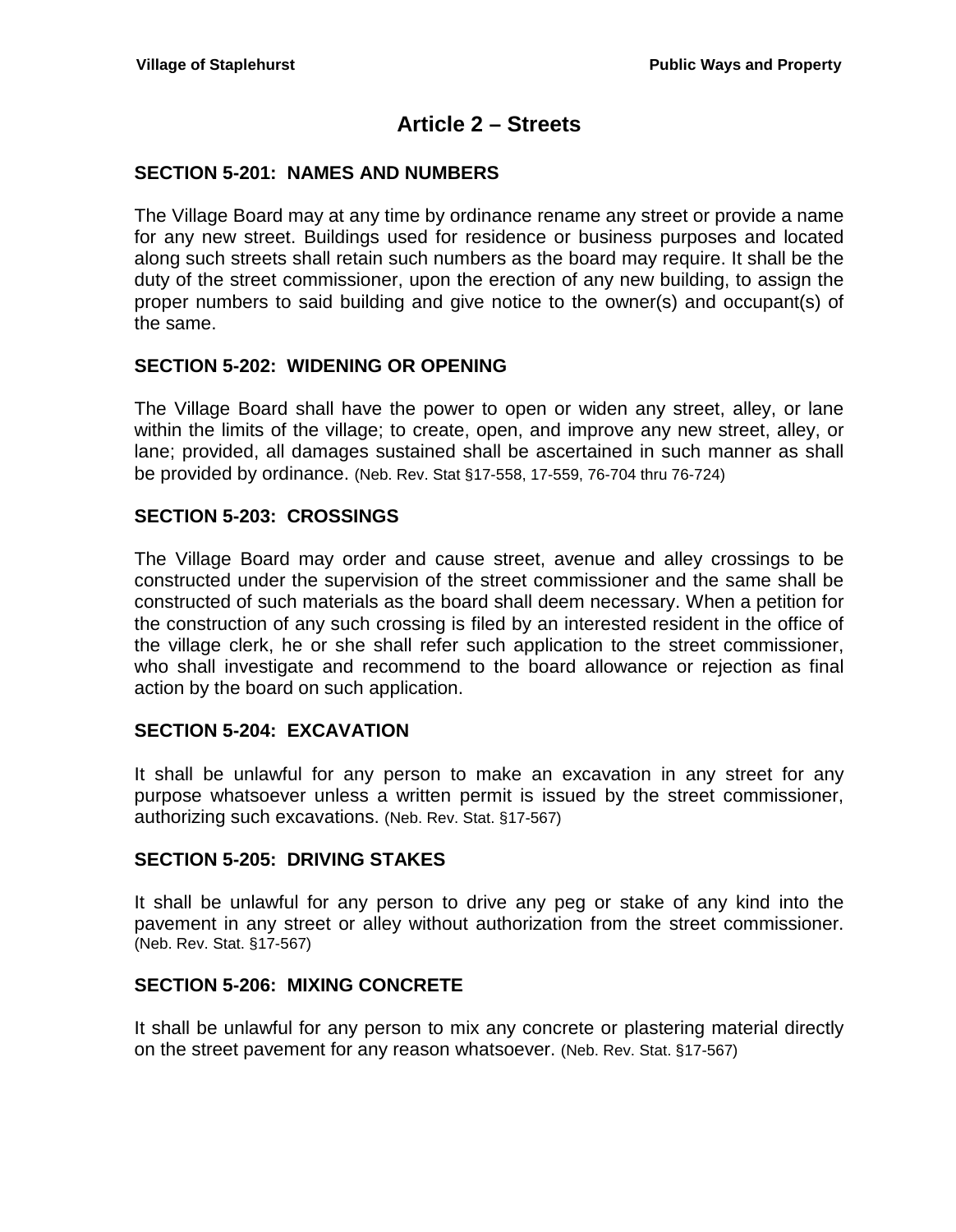## **Article 2 – Streets**

### <span id="page-12-1"></span><span id="page-12-0"></span>**SECTION 5-201: NAMES AND NUMBERS**

The Village Board may at any time by ordinance rename any street or provide a name for any new street. Buildings used for residence or business purposes and located along such streets shall retain such numbers as the board may require. It shall be the duty of the street commissioner, upon the erection of any new building, to assign the proper numbers to said building and give notice to the owner(s) and occupant(s) of the same.

## <span id="page-12-2"></span>**SECTION 5-202: WIDENING OR OPENING**

The Village Board shall have the power to open or widen any street, alley, or lane within the limits of the village; to create, open, and improve any new street, alley, or lane; provided, all damages sustained shall be ascertained in such manner as shall be provided by ordinance. (Neb. Rev. Stat §17-558, 17-559, 76-704 thru 76-724)

## <span id="page-12-3"></span>**SECTION 5-203: CROSSINGS**

The Village Board may order and cause street, avenue and alley crossings to be constructed under the supervision of the street commissioner and the same shall be constructed of such materials as the board shall deem necessary. When a petition for the construction of any such crossing is filed by an interested resident in the office of the village clerk, he or she shall refer such application to the street commissioner, who shall investigate and recommend to the board allowance or rejection as final action by the board on such application.

## <span id="page-12-4"></span>**SECTION 5-204: EXCAVATION**

It shall be unlawful for any person to make an excavation in any street for any purpose whatsoever unless a written permit is issued by the street commissioner, authorizing such excavations. (Neb. Rev. Stat. §17-567)

#### <span id="page-12-5"></span>**SECTION 5-205: DRIVING STAKES**

It shall be unlawful for any person to drive any peg or stake of any kind into the pavement in any street or alley without authorization from the street commissioner. (Neb. Rev. Stat. §17-567)

#### <span id="page-12-6"></span>**SECTION 5-206: MIXING CONCRETE**

It shall be unlawful for any person to mix any concrete or plastering material directly on the street pavement for any reason whatsoever. (Neb. Rev. Stat. §17-567)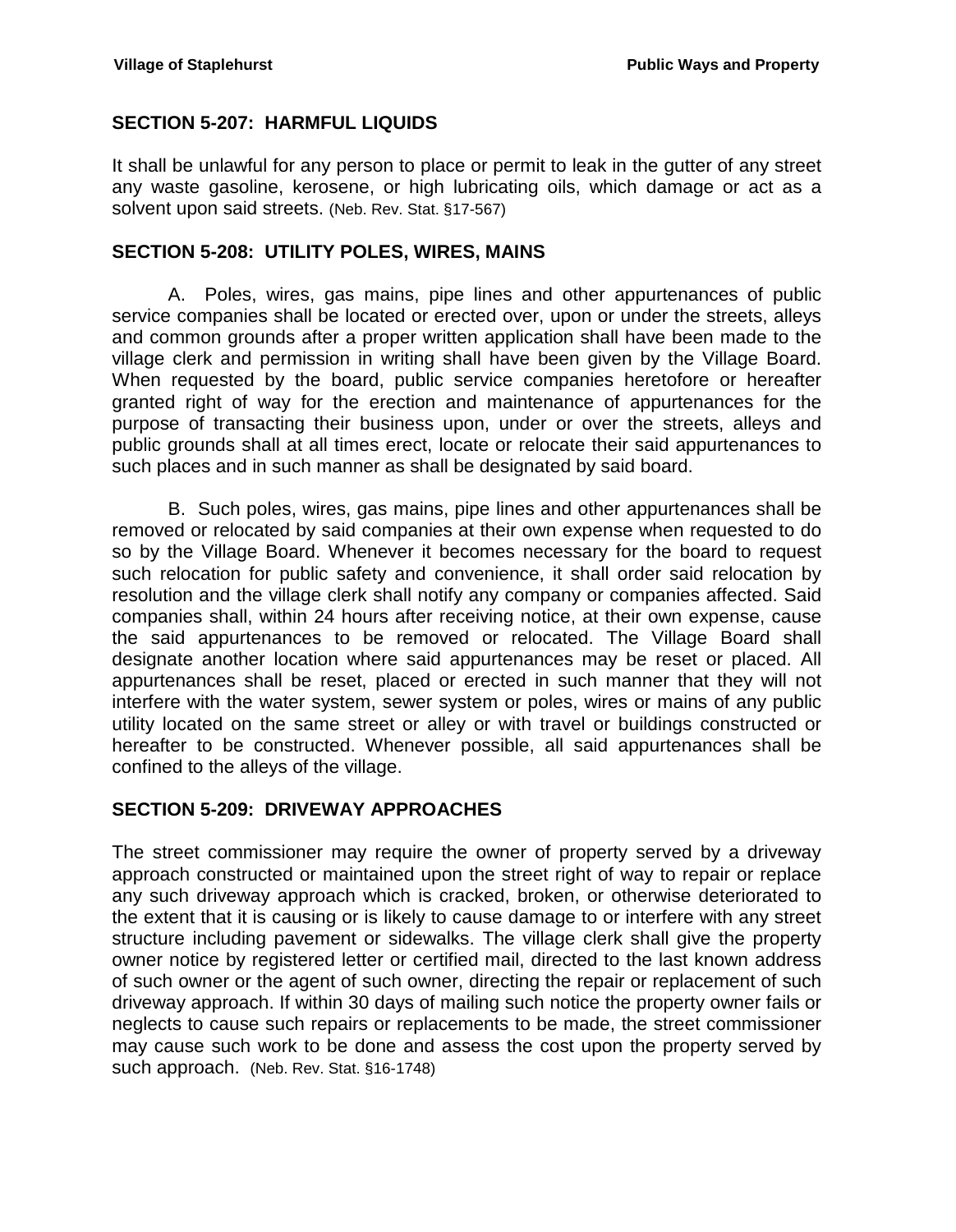## <span id="page-13-0"></span>**SECTION 5-207: HARMFUL LIQUIDS**

It shall be unlawful for any person to place or permit to leak in the gutter of any street any waste gasoline, kerosene, or high lubricating oils, which damage or act as a solvent upon said streets. (Neb. Rev. Stat. §17-567)

#### <span id="page-13-1"></span>**SECTION 5-208: UTILITY POLES, WIRES, MAINS**

A. Poles, wires, gas mains, pipe lines and other appurtenances of public service companies shall be located or erected over, upon or under the streets, alleys and common grounds after a proper written application shall have been made to the village clerk and permission in writing shall have been given by the Village Board. When requested by the board, public service companies heretofore or hereafter granted right of way for the erection and maintenance of appurtenances for the purpose of transacting their business upon, under or over the streets, alleys and public grounds shall at all times erect, locate or relocate their said appurtenances to such places and in such manner as shall be designated by said board.

B. Such poles, wires, gas mains, pipe lines and other appurtenances shall be removed or relocated by said companies at their own expense when requested to do so by the Village Board. Whenever it becomes necessary for the board to request such relocation for public safety and convenience, it shall order said relocation by resolution and the village clerk shall notify any company or companies affected. Said companies shall, within 24 hours after receiving notice, at their own expense, cause the said appurtenances to be removed or relocated. The Village Board shall designate another location where said appurtenances may be reset or placed. All appurtenances shall be reset, placed or erected in such manner that they will not interfere with the water system, sewer system or poles, wires or mains of any public utility located on the same street or alley or with travel or buildings constructed or hereafter to be constructed. Whenever possible, all said appurtenances shall be confined to the alleys of the village.

#### <span id="page-13-2"></span>**SECTION 5-209: DRIVEWAY APPROACHES**

The street commissioner may require the owner of property served by a driveway approach constructed or maintained upon the street right of way to repair or replace any such driveway approach which is cracked, broken, or otherwise deteriorated to the extent that it is causing or is likely to cause damage to or interfere with any street structure including pavement or sidewalks. The village clerk shall give the property owner notice by registered letter or certified mail, directed to the last known address of such owner or the agent of such owner, directing the repair or replacement of such driveway approach. If within 30 days of mailing such notice the property owner fails or neglects to cause such repairs or replacements to be made, the street commissioner may cause such work to be done and assess the cost upon the property served by such approach. (Neb. Rev. Stat. §16-1748)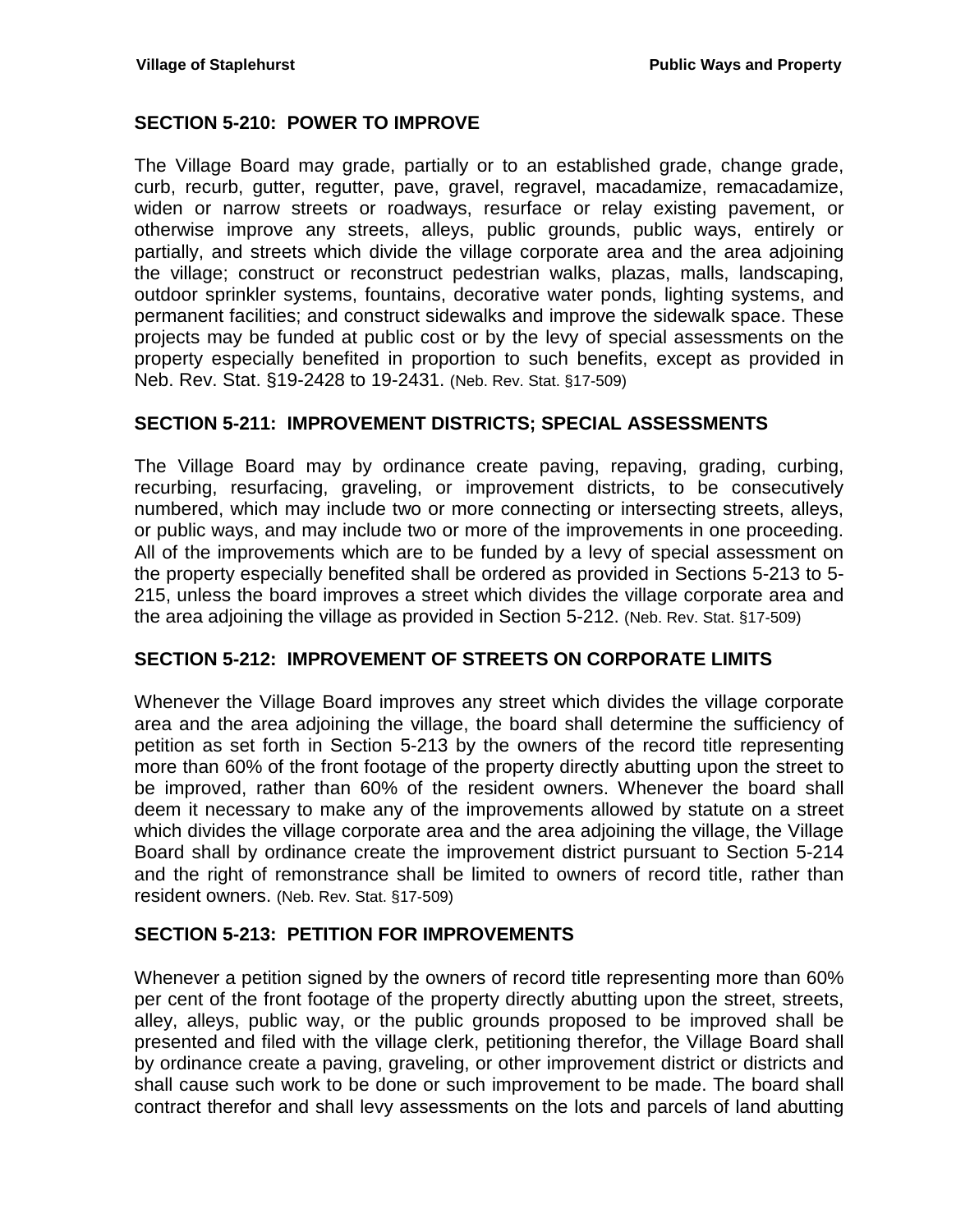## <span id="page-14-0"></span>**SECTION 5-210: POWER TO IMPROVE**

The Village Board may grade, partially or to an established grade, change grade, curb, recurb, gutter, regutter, pave, gravel, regravel, macadamize, remacadamize, widen or narrow streets or roadways, resurface or relay existing pavement, or otherwise improve any streets, alleys, public grounds, public ways, entirely or partially, and streets which divide the village corporate area and the area adjoining the village; construct or reconstruct pedestrian walks, plazas, malls, landscaping, outdoor sprinkler systems, fountains, decorative water ponds, lighting systems, and permanent facilities; and construct sidewalks and improve the sidewalk space. These projects may be funded at public cost or by the levy of special assessments on the property especially benefited in proportion to such benefits, except as provided in Neb. Rev. Stat. §19-2428 to 19-2431. (Neb. Rev. Stat. §17-509)

#### <span id="page-14-1"></span>**SECTION 5-211: IMPROVEMENT DISTRICTS; SPECIAL ASSESSMENTS**

The Village Board may by ordinance create paving, repaving, grading, curbing, recurbing, resurfacing, graveling, or improvement districts, to be consecutively numbered, which may include two or more connecting or intersecting streets, alleys, or public ways, and may include two or more of the improvements in one proceeding. All of the improvements which are to be funded by a levy of special assessment on the property especially benefited shall be ordered as provided in Sections 5-213 to 5- 215, unless the board improves a street which divides the village corporate area and the area adjoining the village as provided in Section 5-212. (Neb. Rev. Stat. §17-509)

#### <span id="page-14-2"></span>**SECTION 5-212: IMPROVEMENT OF STREETS ON CORPORATE LIMITS**

Whenever the Village Board improves any street which divides the village corporate area and the area adjoining the village, the board shall determine the sufficiency of petition as set forth in Section 5-213 by the owners of the record title representing more than 60% of the front footage of the property directly abutting upon the street to be improved, rather than 60% of the resident owners. Whenever the board shall deem it necessary to make any of the improvements allowed by statute on a street which divides the village corporate area and the area adjoining the village, the Village Board shall by ordinance create the improvement district pursuant to Section 5-214 and the right of remonstrance shall be limited to owners of record title, rather than resident owners. (Neb. Rev. Stat. §17-509)

#### <span id="page-14-3"></span>**SECTION 5-213: PETITION FOR IMPROVEMENTS**

Whenever a petition signed by the owners of record title representing more than 60% per cent of the front footage of the property directly abutting upon the street, streets, alley, alleys, public way, or the public grounds proposed to be improved shall be presented and filed with the village clerk, petitioning therefor, the Village Board shall by ordinance create a paving, graveling, or other improvement district or districts and shall cause such work to be done or such improvement to be made. The board shall contract therefor and shall levy assessments on the lots and parcels of land abutting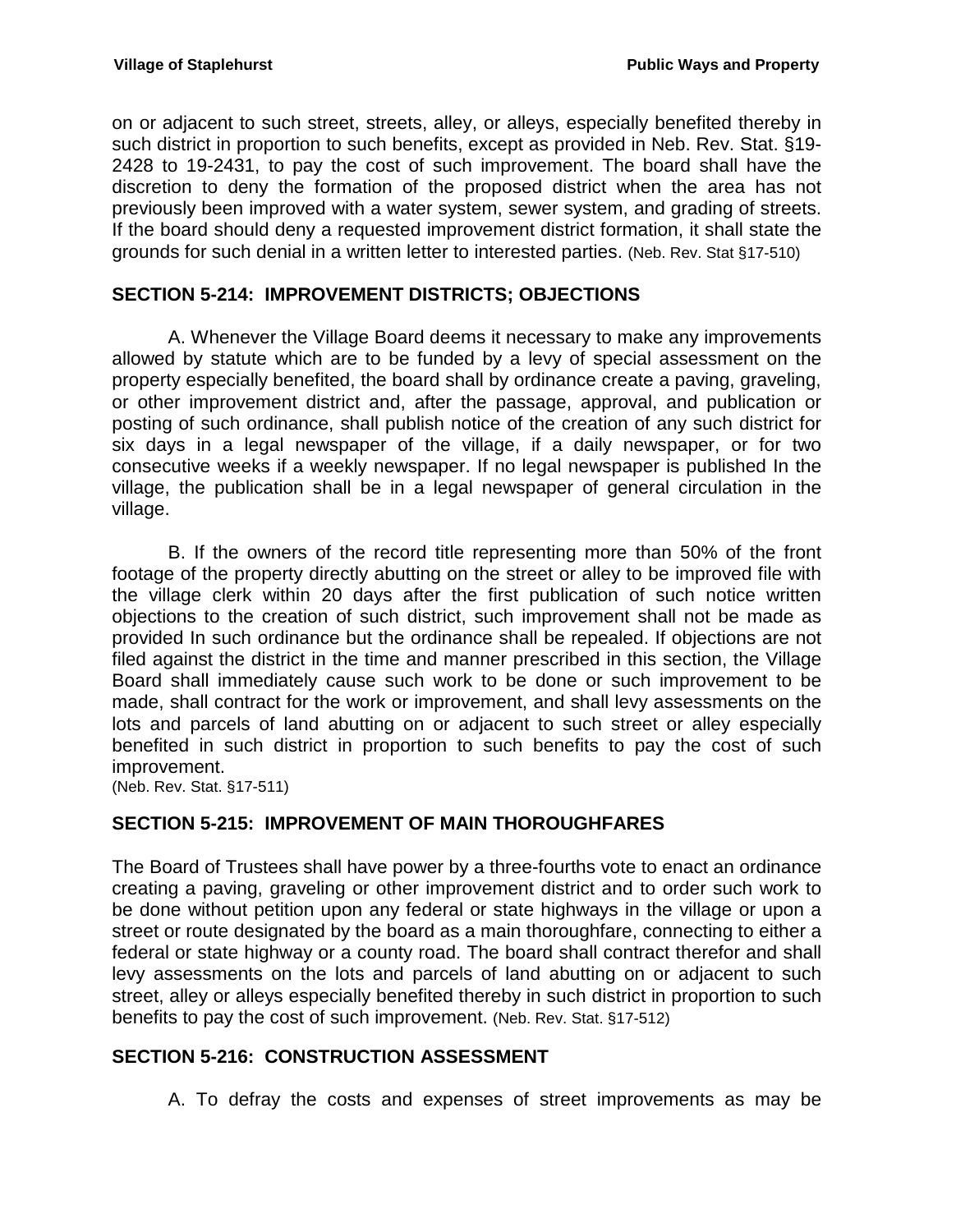on or adjacent to such street, streets, alley, or alleys, especially benefited thereby in such district in proportion to such benefits, except as provided in Neb. Rev. Stat. §19- 2428 to 19-2431, to pay the cost of such improvement. The board shall have the discretion to deny the formation of the proposed district when the area has not previously been improved with a water system, sewer system, and grading of streets. If the board should deny a requested improvement district formation, it shall state the grounds for such denial in a written letter to interested parties. (Neb. Rev. Stat §17-510)

## <span id="page-15-0"></span>**SECTION 5-214: IMPROVEMENT DISTRICTS; OBJECTIONS**

A. Whenever the Village Board deems it necessary to make any improvements allowed by statute which are to be funded by a levy of special assessment on the property especially benefited, the board shall by ordinance create a paving, graveling, or other improvement district and, after the passage, approval, and publication or posting of such ordinance, shall publish notice of the creation of any such district for six days in a legal newspaper of the village, if a daily newspaper, or for two consecutive weeks if a weekly newspaper. If no legal newspaper is published In the village, the publication shall be in a legal newspaper of general circulation in the village.

B. If the owners of the record title representing more than 50% of the front footage of the property directly abutting on the street or alley to be improved file with the village clerk within 20 days after the first publication of such notice written objections to the creation of such district, such improvement shall not be made as provided In such ordinance but the ordinance shall be repealed. If objections are not filed against the district in the time and manner prescribed in this section, the Village Board shall immediately cause such work to be done or such improvement to be made, shall contract for the work or improvement, and shall levy assessments on the lots and parcels of land abutting on or adjacent to such street or alley especially benefited in such district in proportion to such benefits to pay the cost of such improvement.

(Neb. Rev. Stat. §17-511)

## <span id="page-15-1"></span>**SECTION 5-215: IMPROVEMENT OF MAIN THOROUGHFARES**

The Board of Trustees shall have power by a three-fourths vote to enact an ordinance creating a paving, graveling or other improvement district and to order such work to be done without petition upon any federal or state highways in the village or upon a street or route designated by the board as a main thoroughfare, connecting to either a federal or state highway or a county road. The board shall contract therefor and shall levy assessments on the lots and parcels of land abutting on or adjacent to such street, alley or alleys especially benefited thereby in such district in proportion to such benefits to pay the cost of such improvement. (Neb. Rev. Stat. §17-512)

#### <span id="page-15-2"></span>**SECTION 5-216: CONSTRUCTION ASSESSMENT**

A. To defray the costs and expenses of street improvements as may be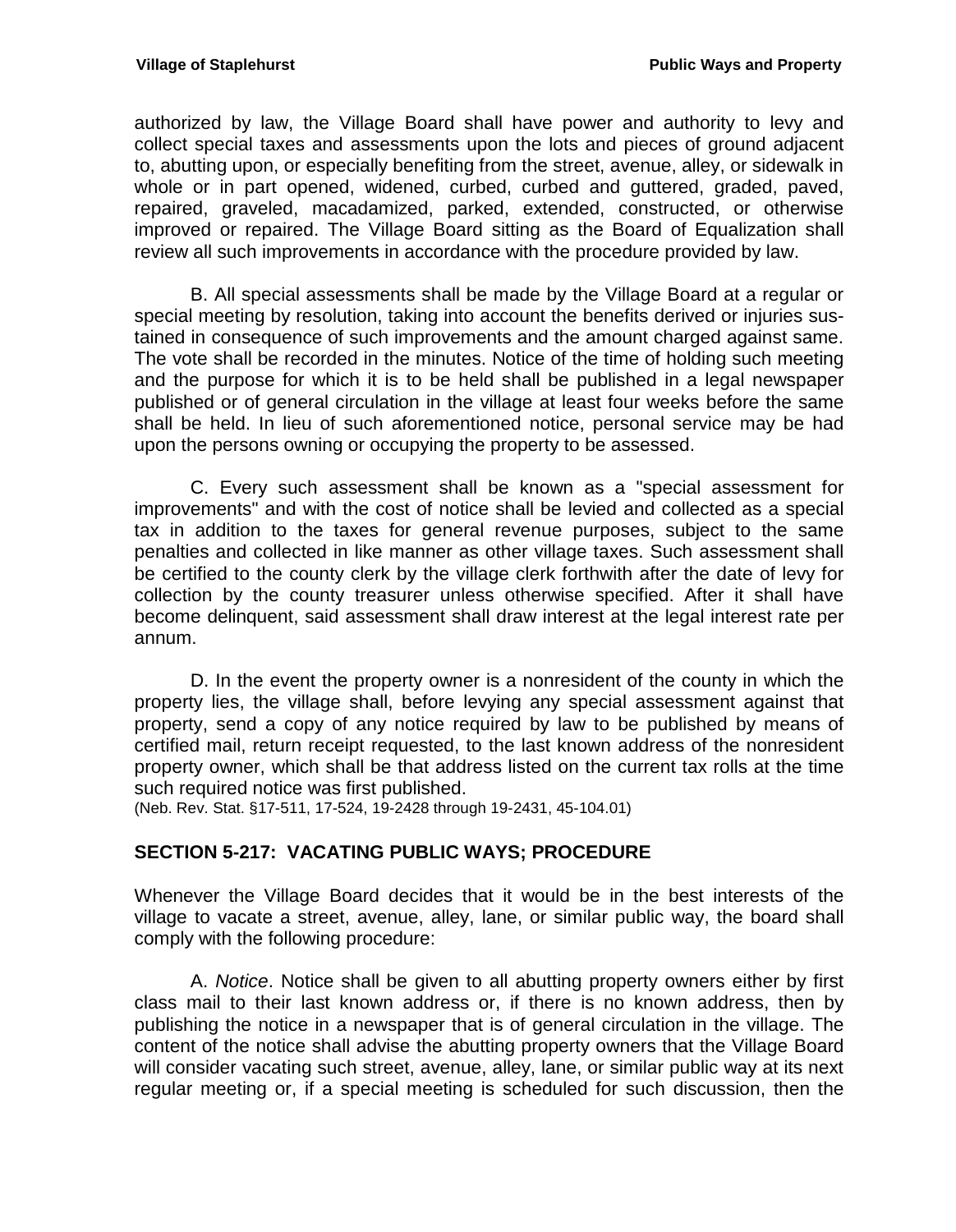authorized by law, the Village Board shall have power and authority to levy and collect special taxes and assessments upon the lots and pieces of ground adjacent to, abutting upon, or especially benefiting from the street, avenue, alley, or sidewalk in whole or in part opened, widened, curbed, curbed and guttered, graded, paved, repaired, graveled, macadamized, parked, extended, constructed, or otherwise improved or repaired. The Village Board sitting as the Board of Equalization shall review all such improvements in accordance with the procedure provided by law.

B. All special assessments shall be made by the Village Board at a regular or special meeting by resolution, taking into account the benefits derived or injuries sustained in consequence of such improvements and the amount charged against same. The vote shall be recorded in the minutes. Notice of the time of holding such meeting and the purpose for which it is to be held shall be published in a legal newspaper published or of general circulation in the village at least four weeks before the same shall be held. In lieu of such aforementioned notice, personal service may be had upon the persons owning or occupying the property to be assessed.

C. Every such assessment shall be known as a "special assessment for improvements" and with the cost of notice shall be levied and collected as a special tax in addition to the taxes for general revenue purposes, subject to the same penalties and collected in like manner as other village taxes. Such assessment shall be certified to the county clerk by the village clerk forthwith after the date of levy for collection by the county treasurer unless otherwise specified. After it shall have become delinquent, said assessment shall draw interest at the legal interest rate per annum.

D. In the event the property owner is a nonresident of the county in which the property lies, the village shall, before levying any special assessment against that property, send a copy of any notice required by law to be published by means of certified mail, return receipt requested, to the last known address of the nonresident property owner, which shall be that address listed on the current tax rolls at the time such required notice was first published.

(Neb. Rev. Stat. §17-511, 17-524, 19-2428 through 19-2431, 45-104.01)

## <span id="page-16-0"></span>**SECTION 5-217: VACATING PUBLIC WAYS; PROCEDURE**

Whenever the Village Board decides that it would be in the best interests of the village to vacate a street, avenue, alley, lane, or similar public way, the board shall comply with the following procedure:

A. *Notice*. Notice shall be given to all abutting property owners either by first class mail to their last known address or, if there is no known address, then by publishing the notice in a newspaper that is of general circulation in the village. The content of the notice shall advise the abutting property owners that the Village Board will consider vacating such street, avenue, alley, lane, or similar public way at its next regular meeting or, if a special meeting is scheduled for such discussion, then the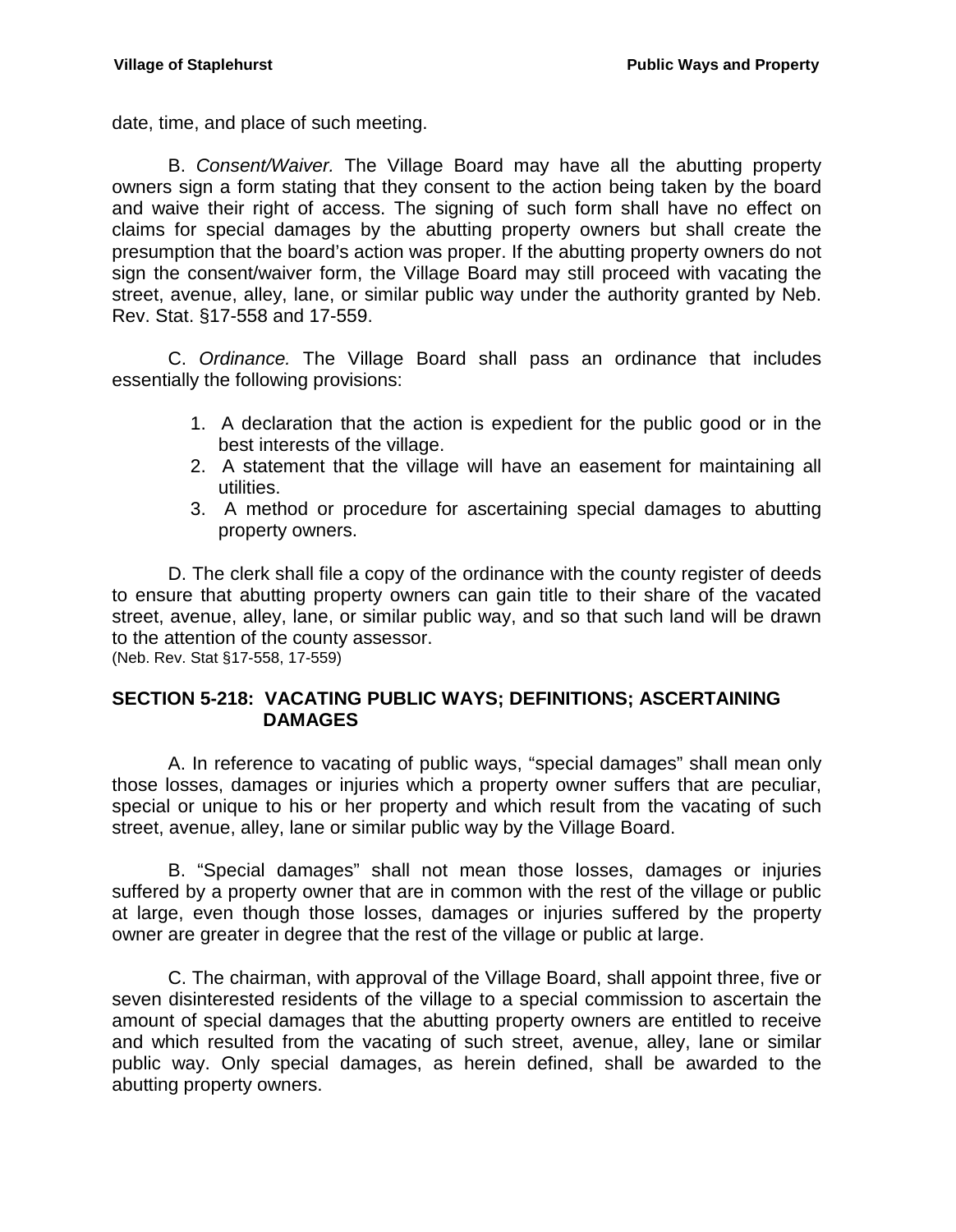date, time, and place of such meeting.

B. *Consent/Waiver.* The Village Board may have all the abutting property owners sign a form stating that they consent to the action being taken by the board and waive their right of access. The signing of such form shall have no effect on claims for special damages by the abutting property owners but shall create the presumption that the board's action was proper. If the abutting property owners do not sign the consent/waiver form, the Village Board may still proceed with vacating the street, avenue, alley, lane, or similar public way under the authority granted by Neb. Rev. Stat. §17-558 and 17-559.

C. *Ordinance.* The Village Board shall pass an ordinance that includes essentially the following provisions:

- 1. A declaration that the action is expedient for the public good or in the best interests of the village.
- 2. A statement that the village will have an easement for maintaining all utilities.
- 3. A method or procedure for ascertaining special damages to abutting property owners.

D. The clerk shall file a copy of the ordinance with the county register of deeds to ensure that abutting property owners can gain title to their share of the vacated street, avenue, alley, lane, or similar public way, and so that such land will be drawn to the attention of the county assessor. (Neb. Rev. Stat §17-558, 17-559)

## <span id="page-17-0"></span>**SECTION 5-218: VACATING PUBLIC WAYS; DEFINITIONS; ASCERTAINING DAMAGES**

A. In reference to vacating of public ways, "special damages" shall mean only those losses, damages or injuries which a property owner suffers that are peculiar, special or unique to his or her property and which result from the vacating of such street, avenue, alley, lane or similar public way by the Village Board.

B. "Special damages" shall not mean those losses, damages or injuries suffered by a property owner that are in common with the rest of the village or public at large, even though those losses, damages or injuries suffered by the property owner are greater in degree that the rest of the village or public at large.

C. The chairman, with approval of the Village Board, shall appoint three, five or seven disinterested residents of the village to a special commission to ascertain the amount of special damages that the abutting property owners are entitled to receive and which resulted from the vacating of such street, avenue, alley, lane or similar public way. Only special damages, as herein defined, shall be awarded to the abutting property owners.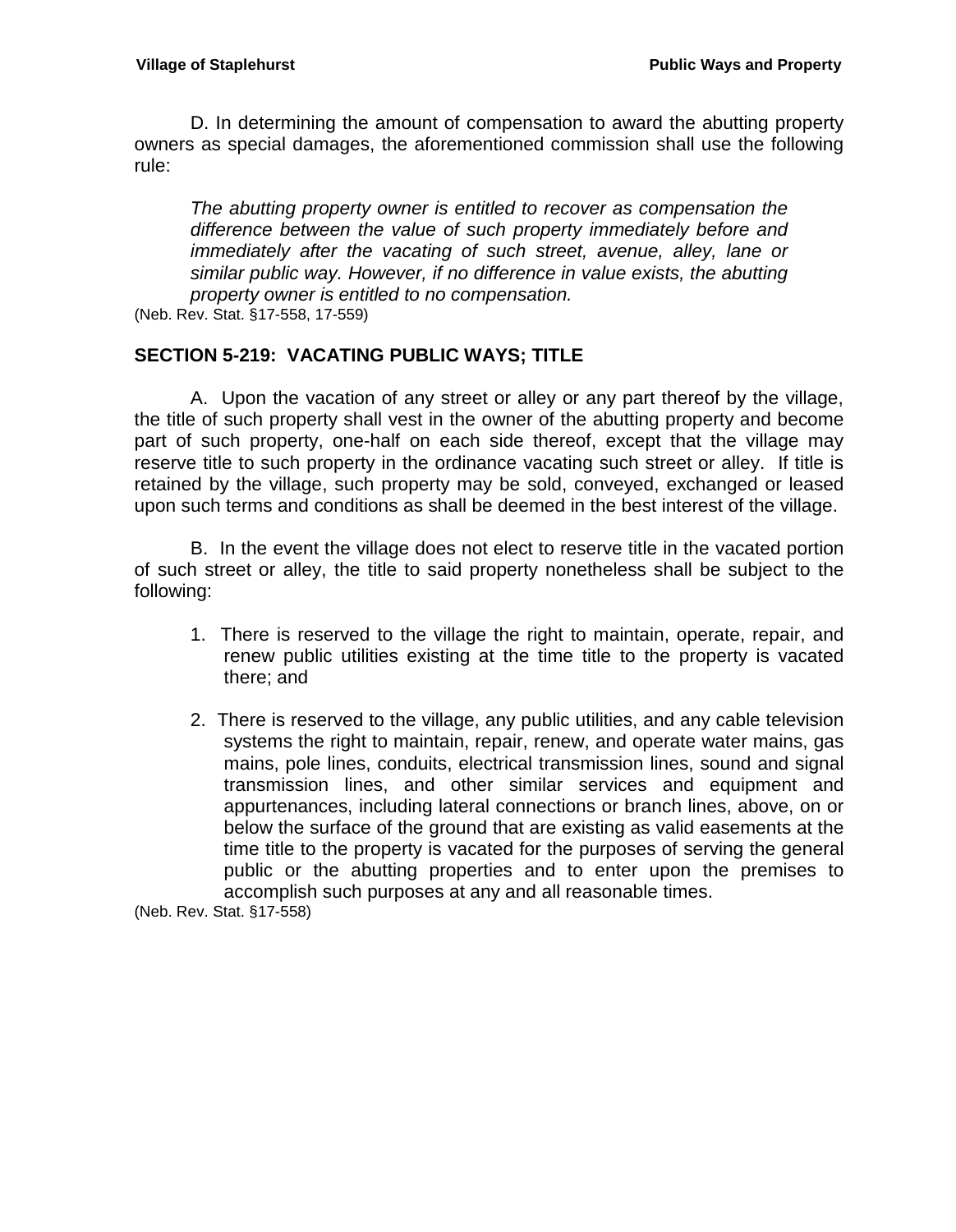D. In determining the amount of compensation to award the abutting property owners as special damages, the aforementioned commission shall use the following rule:

*The abutting property owner is entitled to recover as compensation the difference between the value of such property immediately before and immediately after the vacating of such street, avenue, alley, lane or similar public way. However, if no difference in value exists, the abutting property owner is entitled to no compensation.* 

(Neb. Rev. Stat. §17-558, 17-559)

## <span id="page-18-0"></span>**SECTION 5-219: VACATING PUBLIC WAYS; TITLE**

A. Upon the vacation of any street or alley or any part thereof by the village, the title of such property shall vest in the owner of the abutting property and become part of such property, one-half on each side thereof, except that the village may reserve title to such property in the ordinance vacating such street or alley. If title is retained by the village, such property may be sold, conveyed, exchanged or leased upon such terms and conditions as shall be deemed in the best interest of the village.

B. In the event the village does not elect to reserve title in the vacated portion of such street or alley, the title to said property nonetheless shall be subject to the following:

- 1. There is reserved to the village the right to maintain, operate, repair, and renew public utilities existing at the time title to the property is vacated there; and
- 2. There is reserved to the village, any public utilities, and any cable television systems the right to maintain, repair, renew, and operate water mains, gas mains, pole lines, conduits, electrical transmission lines, sound and signal transmission lines, and other similar services and equipment and appurtenances, including lateral connections or branch lines, above, on or below the surface of the ground that are existing as valid easements at the time title to the property is vacated for the purposes of serving the general public or the abutting properties and to enter upon the premises to accomplish such purposes at any and all reasonable times.

(Neb. Rev. Stat. §17-558)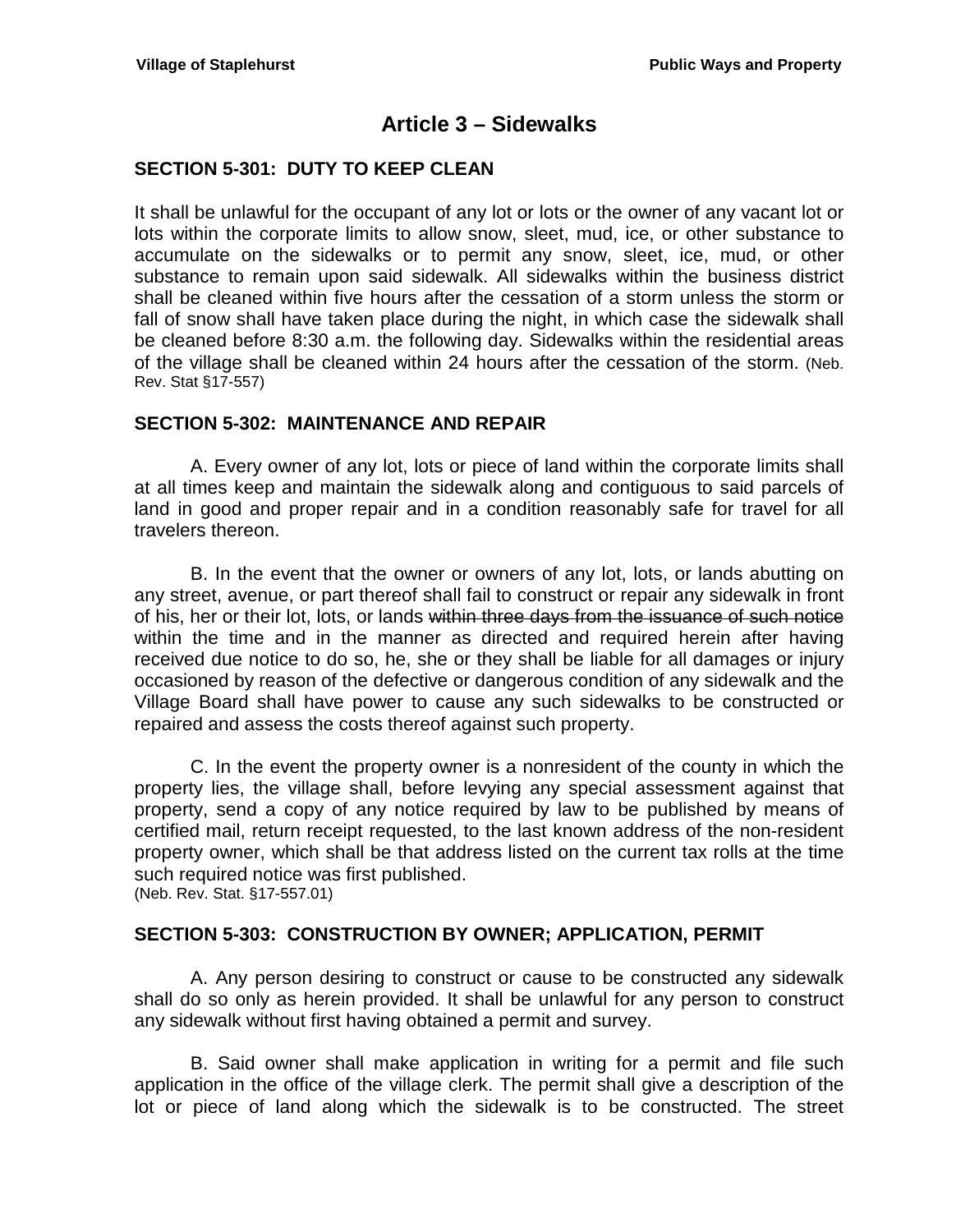# **Article 3 – Sidewalks**

## <span id="page-20-1"></span><span id="page-20-0"></span>**SECTION 5-301: DUTY TO KEEP CLEAN**

It shall be unlawful for the occupant of any lot or lots or the owner of any vacant lot or lots within the corporate limits to allow snow, sleet, mud, ice, or other substance to accumulate on the sidewalks or to permit any snow, sleet, ice, mud, or other substance to remain upon said sidewalk. All sidewalks within the business district shall be cleaned within five hours after the cessation of a storm unless the storm or fall of snow shall have taken place during the night, in which case the sidewalk shall be cleaned before 8:30 a.m. the following day. Sidewalks within the residential areas of the village shall be cleaned within 24 hours after the cessation of the storm. (Neb. Rev. Stat §17-557)

## <span id="page-20-2"></span>**SECTION 5-302: MAINTENANCE AND REPAIR**

A. Every owner of any lot, lots or piece of land within the corporate limits shall at all times keep and maintain the sidewalk along and contiguous to said parcels of land in good and proper repair and in a condition reasonably safe for travel for all travelers thereon.

B. In the event that the owner or owners of any lot, lots, or lands abutting on any street, avenue, or part thereof shall fail to construct or repair any sidewalk in front of his, her or their lot, lots, or lands within three days from the issuance of such notice within the time and in the manner as directed and required herein after having received due notice to do so, he, she or they shall be liable for all damages or injury occasioned by reason of the defective or dangerous condition of any sidewalk and the Village Board shall have power to cause any such sidewalks to be constructed or repaired and assess the costs thereof against such property.

C. In the event the property owner is a nonresident of the county in which the property lies, the village shall, before levying any special assessment against that property, send a copy of any notice required by law to be published by means of certified mail, return receipt requested, to the last known address of the non-resident property owner, which shall be that address listed on the current tax rolls at the time such required notice was first published.

(Neb. Rev. Stat. §17-557.01)

#### <span id="page-20-3"></span>**SECTION 5-303: CONSTRUCTION BY OWNER; APPLICATION, PERMIT**

A. Any person desiring to construct or cause to be constructed any sidewalk shall do so only as herein provided. It shall be unlawful for any person to construct any sidewalk without first having obtained a permit and survey.

B. Said owner shall make application in writing for a permit and file such application in the office of the village clerk. The permit shall give a description of the lot or piece of land along which the sidewalk is to be constructed. The street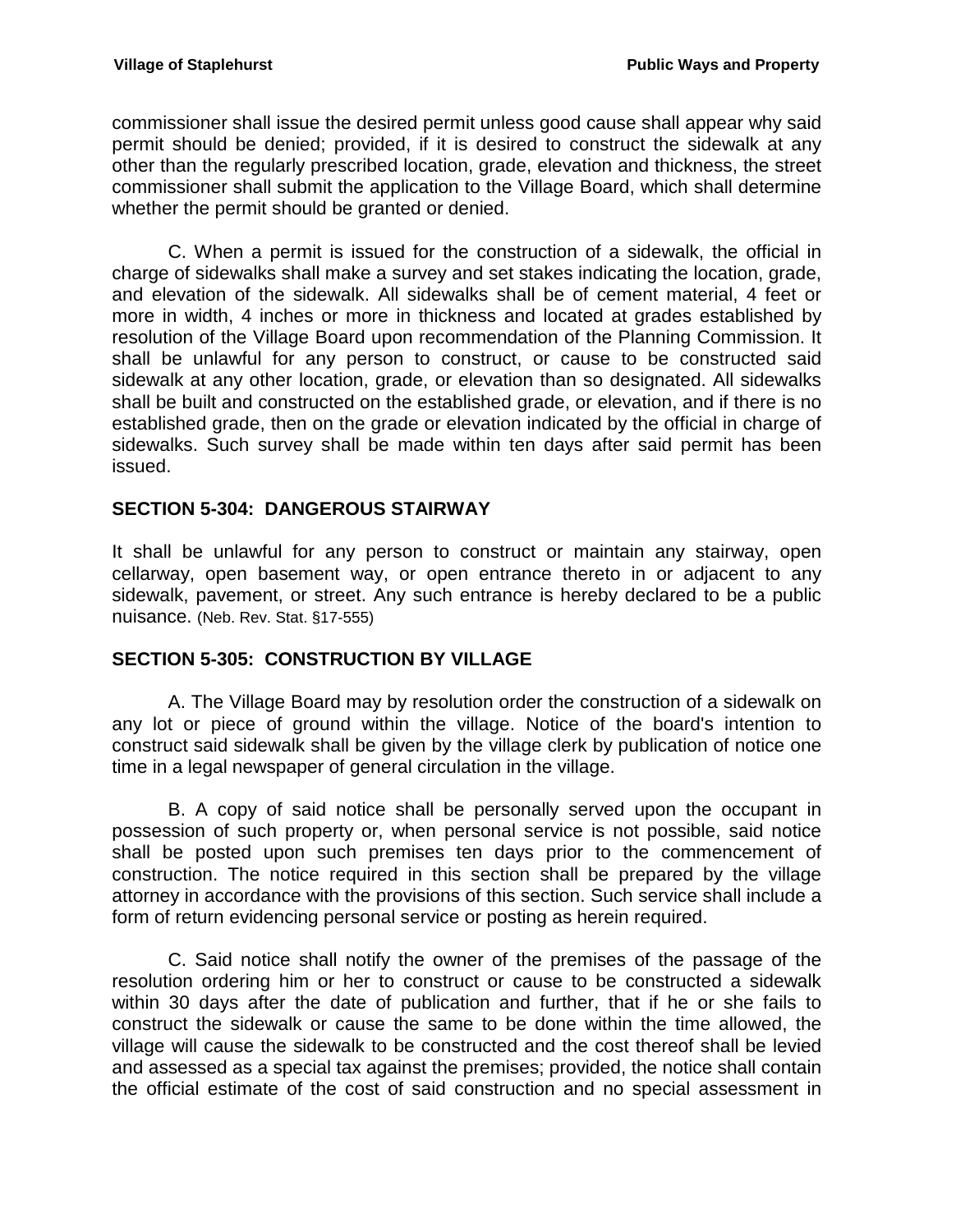commissioner shall issue the desired permit unless good cause shall appear why said permit should be denied; provided, if it is desired to construct the sidewalk at any other than the regularly prescribed location, grade, elevation and thickness, the street commissioner shall submit the application to the Village Board, which shall determine whether the permit should be granted or denied.

C. When a permit is issued for the construction of a sidewalk, the official in charge of sidewalks shall make a survey and set stakes indicating the location, grade, and elevation of the sidewalk. All sidewalks shall be of cement material, 4 feet or more in width, 4 inches or more in thickness and located at grades established by resolution of the Village Board upon recommendation of the Planning Commission. It shall be unlawful for any person to construct, or cause to be constructed said sidewalk at any other location, grade, or elevation than so designated. All sidewalks shall be built and constructed on the established grade, or elevation, and if there is no established grade, then on the grade or elevation indicated by the official in charge of sidewalks. Such survey shall be made within ten days after said permit has been issued.

## <span id="page-21-0"></span>**SECTION 5-304: DANGEROUS STAIRWAY**

It shall be unlawful for any person to construct or maintain any stairway, open cellarway, open basement way, or open entrance thereto in or adjacent to any sidewalk, pavement, or street. Any such entrance is hereby declared to be a public nuisance. (Neb. Rev. Stat. §17-555)

## <span id="page-21-1"></span>**SECTION 5-305: CONSTRUCTION BY VILLAGE**

A. The Village Board may by resolution order the construction of a sidewalk on any lot or piece of ground within the village. Notice of the board's intention to construct said sidewalk shall be given by the village clerk by publication of notice one time in a legal newspaper of general circulation in the village.

B. A copy of said notice shall be personally served upon the occupant in possession of such property or, when personal service is not possible, said notice shall be posted upon such premises ten days prior to the commencement of construction. The notice required in this section shall be prepared by the village attorney in accordance with the provisions of this section. Such service shall include a form of return evidencing personal service or posting as herein required.

C. Said notice shall notify the owner of the premises of the passage of the resolution ordering him or her to construct or cause to be constructed a sidewalk within 30 days after the date of publication and further, that if he or she fails to construct the sidewalk or cause the same to be done within the time allowed, the village will cause the sidewalk to be constructed and the cost thereof shall be levied and assessed as a special tax against the premises; provided, the notice shall contain the official estimate of the cost of said construction and no special assessment in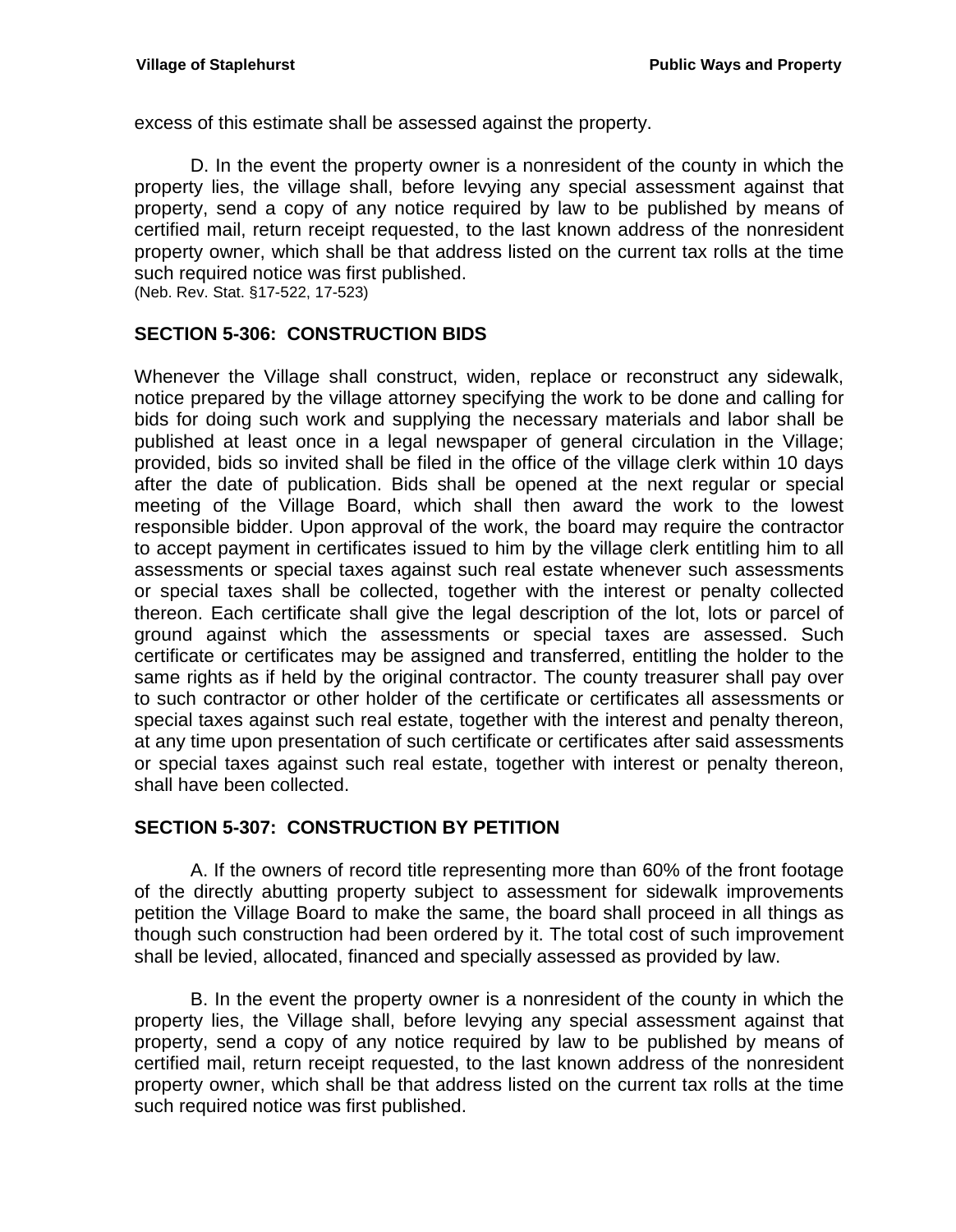excess of this estimate shall be assessed against the property.

D. In the event the property owner is a nonresident of the county in which the property lies, the village shall, before levying any special assessment against that property, send a copy of any notice required by law to be published by means of certified mail, return receipt requested, to the last known address of the nonresident property owner, which shall be that address listed on the current tax rolls at the time such required notice was first published.

(Neb. Rev. Stat. §17-522, 17-523)

## <span id="page-22-0"></span>**SECTION 5-306: CONSTRUCTION BIDS**

Whenever the Village shall construct, widen, replace or reconstruct any sidewalk, notice prepared by the village attorney specifying the work to be done and calling for bids for doing such work and supplying the necessary materials and labor shall be published at least once in a legal newspaper of general circulation in the Village; provided, bids so invited shall be filed in the office of the village clerk within 10 days after the date of publication. Bids shall be opened at the next regular or special meeting of the Village Board, which shall then award the work to the lowest responsible bidder. Upon approval of the work, the board may require the contractor to accept payment in certificates issued to him by the village clerk entitling him to all assessments or special taxes against such real estate whenever such assessments or special taxes shall be collected, together with the interest or penalty collected thereon. Each certificate shall give the legal description of the lot, lots or parcel of ground against which the assessments or special taxes are assessed. Such certificate or certificates may be assigned and transferred, entitling the holder to the same rights as if held by the original contractor. The county treasurer shall pay over to such contractor or other holder of the certificate or certificates all assessments or special taxes against such real estate, together with the interest and penalty thereon, at any time upon presentation of such certificate or certificates after said assessments or special taxes against such real estate, together with interest or penalty thereon, shall have been collected.

## <span id="page-22-1"></span>**SECTION 5-307: CONSTRUCTION BY PETITION**

A. If the owners of record title representing more than 60% of the front footage of the directly abutting property subject to assessment for sidewalk improvements petition the Village Board to make the same, the board shall proceed in all things as though such construction had been ordered by it. The total cost of such improvement shall be levied, allocated, financed and specially assessed as provided by law.

B. In the event the property owner is a nonresident of the county in which the property lies, the Village shall, before levying any special assessment against that property, send a copy of any notice required by law to be published by means of certified mail, return receipt requested, to the last known address of the nonresident property owner, which shall be that address listed on the current tax rolls at the time such required notice was first published.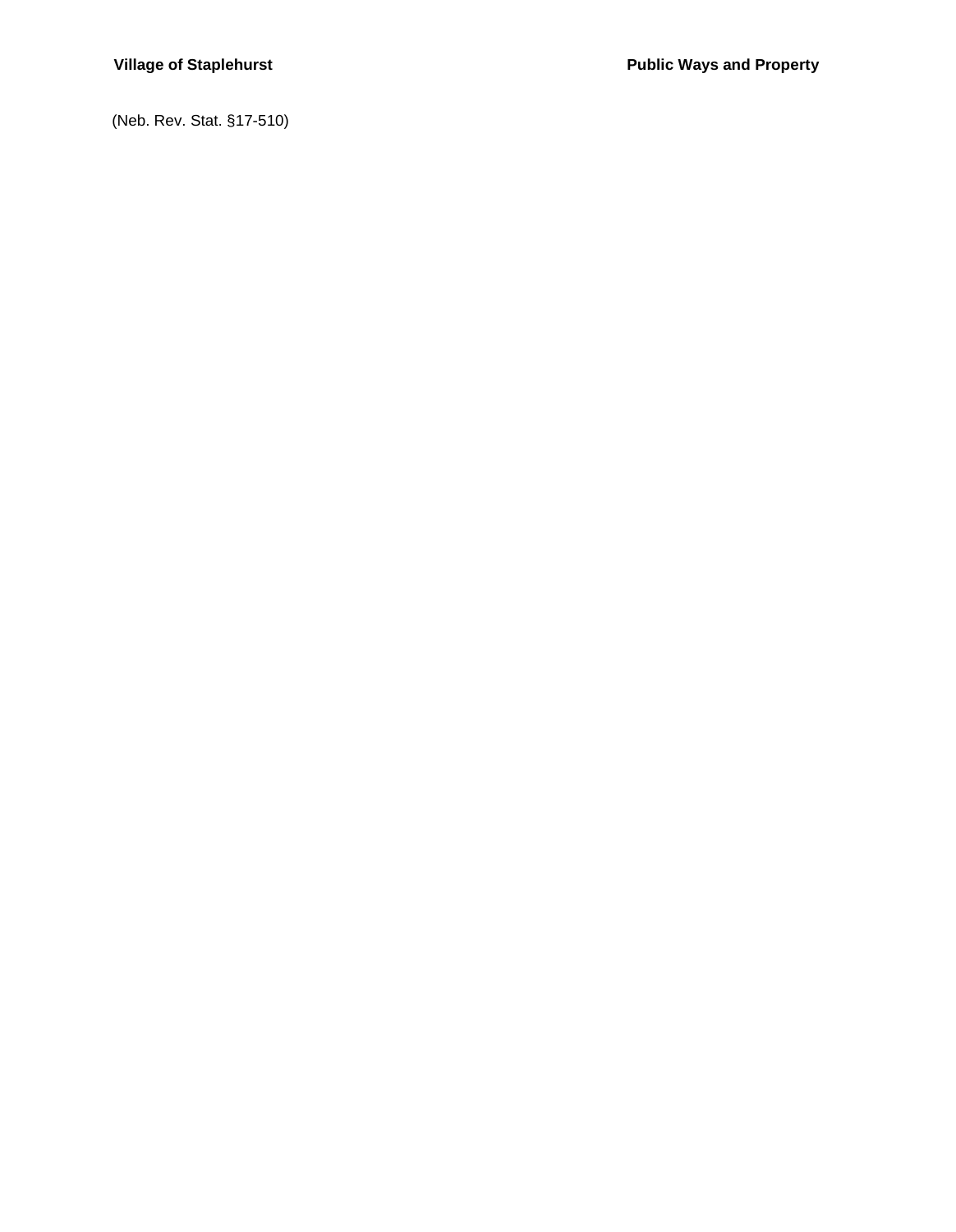(Neb. Rev. Stat. §17-510)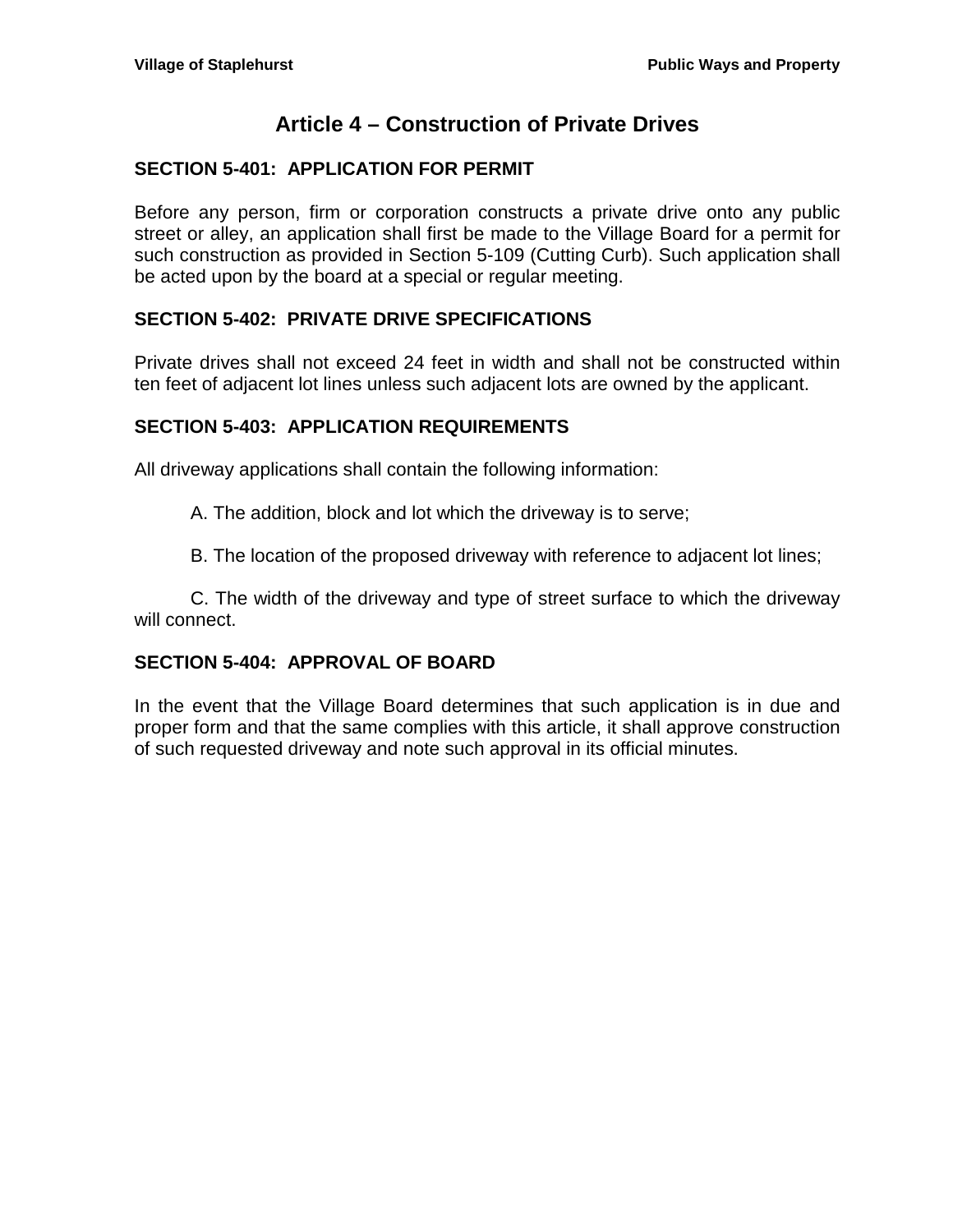# **Article 4 – Construction of Private Drives**

## <span id="page-24-1"></span><span id="page-24-0"></span>**SECTION 5-401: APPLICATION FOR PERMIT**

Before any person, firm or corporation constructs a private drive onto any public street or alley, an application shall first be made to the Village Board for a permit for such construction as provided in Section 5-109 (Cutting Curb). Such application shall be acted upon by the board at a special or regular meeting.

## <span id="page-24-2"></span>**SECTION 5-402: PRIVATE DRIVE SPECIFICATIONS**

Private drives shall not exceed 24 feet in width and shall not be constructed within ten feet of adjacent lot lines unless such adjacent lots are owned by the applicant.

## <span id="page-24-3"></span>**SECTION 5-403: APPLICATION REQUIREMENTS**

All driveway applications shall contain the following information:

A. The addition, block and lot which the driveway is to serve;

B. The location of the proposed driveway with reference to adjacent lot lines;

C. The width of the driveway and type of street surface to which the driveway will connect.

## <span id="page-24-4"></span>**SECTION 5-404: APPROVAL OF BOARD**

In the event that the Village Board determines that such application is in due and proper form and that the same complies with this article, it shall approve construction of such requested driveway and note such approval in its official minutes.